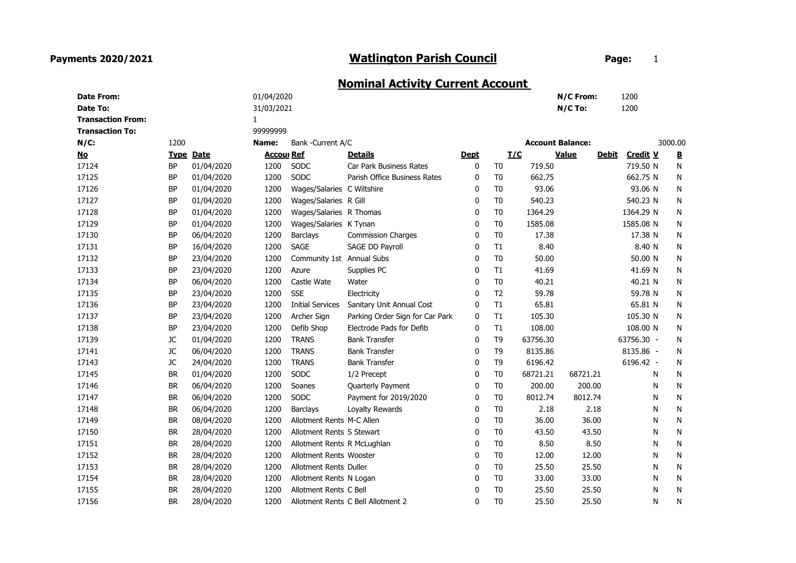## Payments 2020/2021

## Watlington Parish Council **Example 20 For Page:** 1

## Nominal Activity Current Account

| <b>Date From:</b>         |           |                  | 01/04/2020        |                             |                                    |             |                |          | N/C From:               | 1200                            |         |                          |
|---------------------------|-----------|------------------|-------------------|-----------------------------|------------------------------------|-------------|----------------|----------|-------------------------|---------------------------------|---------|--------------------------|
| Date To:                  |           |                  | 31/03/2021        |                             |                                    |             |                |          | N/C To:                 | 1200                            |         |                          |
| <b>Transaction From:</b>  |           |                  | $\mathbf{1}$      |                             |                                    |             |                |          |                         |                                 |         |                          |
| <b>Transaction To:</b>    |           |                  | 99999999          |                             |                                    |             |                |          |                         |                                 |         |                          |
| $N/C$ :                   | 1200      |                  | Name:             | Bank - Current A/C          |                                    |             |                |          | <b>Account Balance:</b> |                                 | 3000.00 |                          |
| $\underline{\mathsf{No}}$ |           | <b>Type Date</b> | <b>Accoul Ref</b> |                             | <b>Details</b>                     | <b>Dept</b> |                | I/C      | Value                   | <b>Credit V</b><br><u>Debit</u> |         | $\underline{\mathbf{B}}$ |
| 17124                     | <b>BP</b> | 01/04/2020       | 1200              | SODC                        | Car Park Business Rates            | 0           | T <sub>0</sub> | 719.50   |                         | 719.50 N                        |         | N                        |
| 17125                     | <b>BP</b> | 01/04/2020       | 1200              | SODC                        | Parish Office Business Rates       | 0           | T <sub>0</sub> | 662.75   |                         | 662.75 N                        |         | N                        |
| 17126                     | <b>BP</b> | 01/04/2020       | 1200              | Wages/Salaries C Wiltshire  |                                    | 0           | T <sub>0</sub> | 93.06    |                         | 93.06 N                         |         | N                        |
| 17127                     | <b>BP</b> | 01/04/2020       | 1200              | Wages/Salaries R Gill       |                                    | 0           | T <sub>0</sub> | 540.23   |                         | 540.23 N                        |         | N                        |
| 17128                     | BP        | 01/04/2020       | 1200              | Wages/Salaries R Thomas     |                                    | 0           | T <sub>0</sub> | 1364.29  |                         | 1364.29 N                       |         | N                        |
| 17129                     | <b>BP</b> | 01/04/2020       | 1200              | Wages/Salaries K Tynan      |                                    | 0           | T <sub>0</sub> | 1585.08  |                         | 1585.08 N                       |         | N                        |
| 17130                     | <b>BP</b> | 06/04/2020       | 1200              | Barclays                    | <b>Commission Charges</b>          | 0           | T <sub>0</sub> | 17.38    |                         | 17.38 N                         |         | N                        |
| 17131                     | <b>BP</b> | 16/04/2020       | 1200              | <b>SAGE</b>                 | SAGE DD Payroll                    | 0           | T1             | 8.40     |                         | 8.40 N                          |         | N                        |
| 17132                     | <b>BP</b> | 23/04/2020       | 1200              | Community 1st Annual Subs   |                                    | 0           | T <sub>0</sub> | 50.00    |                         | 50.00 N                         |         | N                        |
| 17133                     | <b>BP</b> | 23/04/2020       | 1200              | Azure                       | Supplies PC                        | 0           | T1             | 41.69    |                         | 41.69 N                         |         | N                        |
| 17134                     | <b>BP</b> | 06/04/2020       | 1200              | Castle Wate                 | Water                              | 0           | T <sub>0</sub> | 40.21    |                         | 40.21 N                         |         | N                        |
| 17135                     | <b>BP</b> | 23/04/2020       | 1200              | <b>SSE</b>                  | Electricity                        | 0           | T <sub>2</sub> | 59.78    |                         | 59.78 N                         |         | N                        |
| 17136                     | <b>BP</b> | 23/04/2020       | 1200              | <b>Initial Services</b>     | Sanitary Unit Annual Cost          | 0           | T1             | 65.81    |                         | 65.81 N                         |         | N                        |
| 17137                     | <b>BP</b> | 23/04/2020       | 1200              | Archer Sign                 | Parking Order Sign for Car Park    | 0           | T1             | 105.30   |                         | 105.30 N                        |         | N                        |
| 17138                     | <b>BP</b> | 23/04/2020       | 1200              | Defib Shop                  | Electrode Pads for Defib           | 0           | T1             | 108.00   |                         | 108.00 N                        |         | N                        |
| 17139                     | JC        | 01/04/2020       | 1200              | <b>TRANS</b>                | <b>Bank Transfer</b>               | 0           | T <sub>9</sub> | 63756.30 |                         | 63756.30 -                      |         | N                        |
| 17141                     | JC        | 06/04/2020       | 1200              | <b>TRANS</b>                | <b>Bank Transfer</b>               | 0           | T <sub>9</sub> | 8135.86  |                         | 8135.86 -                       |         | N                        |
| 17143                     | JC        | 24/04/2020       | 1200              | <b>TRANS</b>                | <b>Bank Transfer</b>               | 0           | T <sub>9</sub> | 6196.42  |                         | 6196.42 -                       |         | N                        |
| 17145                     | <b>BR</b> | 01/04/2020       | 1200              | <b>SODC</b>                 | 1/2 Precept                        | 0           | T <sub>0</sub> | 68721.21 | 68721.21                |                                 | N       | N                        |
| 17146                     | <b>BR</b> | 06/04/2020       | 1200              | Soanes                      | Quarterly Payment                  | 0           | T <sub>0</sub> | 200.00   | 200.00                  |                                 | N       | $\mathsf{N}$             |
| 17147                     | <b>BR</b> | 06/04/2020       | 1200              | SODC                        | Payment for 2019/2020              | 0           | T <sub>0</sub> | 8012.74  | 8012.74                 |                                 | N       | N                        |
| 17148                     | <b>BR</b> | 06/04/2020       | 1200              | Barclays                    | Loyalty Rewards                    | 0           | T <sub>0</sub> | 2.18     | 2.18                    |                                 | N       | N                        |
| 17149                     | <b>BR</b> | 08/04/2020       | 1200              | Allotment Rents M-C Allen   |                                    | 0           | T <sub>0</sub> | 36.00    | 36.00                   |                                 | N       | N                        |
| 17150                     | <b>BR</b> | 28/04/2020       | 1200              | Allotment Rents S Stewart   |                                    | 0           | T <sub>0</sub> | 43.50    | 43.50                   |                                 | N       | $\mathsf{N}$             |
| 17151                     | <b>BR</b> | 28/04/2020       | 1200              | Allotment Rents R McLughlan |                                    | 0           | T <sub>0</sub> | 8.50     | 8.50                    |                                 | N       | N                        |
| 17152                     | <b>BR</b> | 28/04/2020       | 1200              | Allotment Rents Wooster     |                                    | 0           | T <sub>0</sub> | 12.00    | 12.00                   |                                 | N       | N                        |
| 17153                     | <b>BR</b> | 28/04/2020       | 1200              | Allotment Rents Duller      |                                    | 0           | T <sub>0</sub> | 25.50    | 25.50                   |                                 | N       | N                        |
| 17154                     | <b>BR</b> | 28/04/2020       | 1200              | Allotment Rents N Logan     |                                    | 0           | T <sub>0</sub> | 33.00    | 33.00                   |                                 | N       | N                        |
| 17155                     | <b>BR</b> | 28/04/2020       | 1200              | Allotment Rents C Bell      |                                    | 0           | T <sub>0</sub> | 25.50    | 25.50                   |                                 | N       | N                        |
| 17156                     | <b>BR</b> | 28/04/2020       | 1200              |                             | Allotment Rents C Bell Allotment 2 | 0           | T <sub>0</sub> | 25.50    | 25.50                   |                                 | N       | N                        |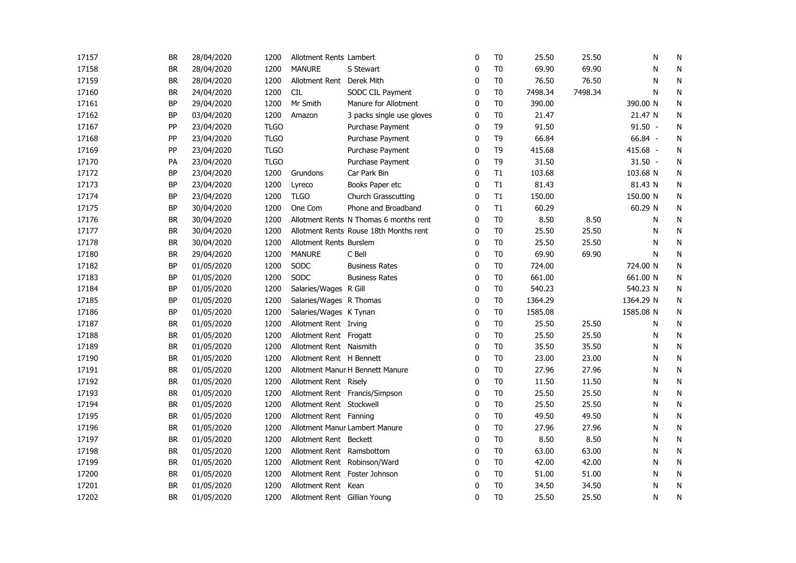| 17157 | <b>BR</b> | 28/04/2020 | 1200        | Allotment Rents Lambert      |                                        | 0            | T <sub>0</sub> | 25.50   | 25.50   | N         | N         |
|-------|-----------|------------|-------------|------------------------------|----------------------------------------|--------------|----------------|---------|---------|-----------|-----------|
| 17158 | <b>BR</b> | 28/04/2020 | 1200        | <b>MANURE</b>                | S Stewart                              | 0            | T <sub>0</sub> | 69.90   | 69.90   | N         | N         |
| 17159 | <b>BR</b> | 28/04/2020 | 1200        | Allotment Rent Derek Mith    |                                        | 0            | T <sub>0</sub> | 76.50   | 76.50   | N         | N         |
| 17160 | <b>BR</b> | 24/04/2020 | 1200        | <b>CIL</b>                   | SODC CIL Payment                       | $\mathbf{0}$ | T <sub>0</sub> | 7498.34 | 7498.34 | N         | ${\sf N}$ |
| 17161 | BP        | 29/04/2020 | 1200        | Mr Smith                     | Manure for Allotment                   | $\mathbf{0}$ | T <sub>0</sub> | 390.00  |         | 390.00 N  | N         |
| 17162 | <b>BP</b> | 03/04/2020 | 1200        | Amazon                       | 3 packs single use gloves              | 0            | T <sub>0</sub> | 21.47   |         | 21.47 N   | N         |
| 17167 | PP        | 23/04/2020 | <b>TLGO</b> |                              | Purchase Payment                       | $\mathbf 0$  | T <sub>9</sub> | 91.50   |         | $91.50 -$ | ${\sf N}$ |
| 17168 | PP        | 23/04/2020 | <b>TLGO</b> |                              | Purchase Payment                       | 0            | T <sub>9</sub> | 66.84   |         | 66.84 -   | N         |
| 17169 | PP        | 23/04/2020 | <b>TLGO</b> |                              | Purchase Payment                       | 0            | T <sub>9</sub> | 415.68  |         | 415.68 -  | N         |
| 17170 | PA        | 23/04/2020 | <b>TLGO</b> |                              | Purchase Payment                       | 0            | T <sub>9</sub> | 31.50   |         | $31.50 -$ | ${\sf N}$ |
| 17172 | <b>BP</b> | 23/04/2020 | 1200        | Grundons                     | Car Park Bin                           | $\mathbf 0$  | T1             | 103.68  |         | 103.68 N  | ${\sf N}$ |
| 17173 | BP        | 23/04/2020 | 1200        | Lyreco                       | Books Paper etc                        | 0            | T1             | 81.43   |         | 81.43 N   | N         |
| 17174 | BP        | 23/04/2020 | 1200        | <b>TLGO</b>                  | Church Grasscutting                    | 0            | T1             | 150.00  |         | 150.00 N  | N         |
| 17175 | BP        | 30/04/2020 | 1200        | One Com                      | Phone and Broadband                    | 0            | T1             | 60.29   |         | 60.29 N   | N         |
| 17176 | <b>BR</b> | 30/04/2020 | 1200        |                              | Allotment Rents N Thomas 6 months rent | 0            | T <sub>0</sub> | 8.50    | 8.50    | N         | N         |
| 17177 | <b>BR</b> | 30/04/2020 | 1200        |                              | Allotment Rents Rouse 18th Months rent | 0            | T <sub>0</sub> | 25.50   | 25.50   | N         | N         |
| 17178 | <b>BR</b> | 30/04/2020 | 1200        | Allotment Rents Burslem      |                                        | $\mathbf{0}$ | T <sub>0</sub> | 25.50   | 25.50   | N         | ${\sf N}$ |
| 17180 | <b>BR</b> | 29/04/2020 | 1200        | <b>MANURE</b>                | C Bell                                 | $\mathbf{0}$ | T <sub>0</sub> | 69.90   | 69.90   | N         | N         |
| 17182 | <b>BP</b> | 01/05/2020 | 1200        | SODC                         | <b>Business Rates</b>                  | $\mathbf{0}$ | T <sub>0</sub> | 724.00  |         | 724.00 N  | N         |
| 17183 | <b>BP</b> | 01/05/2020 | 1200        | SODC                         | <b>Business Rates</b>                  | 0            | T <sub>0</sub> | 661.00  |         | 661.00 N  | N         |
| 17184 | BP        | 01/05/2020 | 1200        | Salaries/Wages R Gill        |                                        | 0            | T <sub>0</sub> | 540.23  |         | 540.23 N  | N         |
| 17185 | BP        | 01/05/2020 | 1200        | Salaries/Wages R Thomas      |                                        | 0            | T <sub>0</sub> | 1364.29 |         | 1364.29 N | N         |
| 17186 | BP        | 01/05/2020 | 1200        | Salaries/Wages K Tynan       |                                        | 0            | T <sub>0</sub> | 1585.08 |         | 1585.08 N | N         |
| 17187 | <b>BR</b> | 01/05/2020 | 1200        | Allotment Rent Irving        |                                        | 0            | T <sub>0</sub> | 25.50   | 25.50   | N         | ${\sf N}$ |
| 17188 | <b>BR</b> | 01/05/2020 | 1200        | Allotment Rent Frogatt       |                                        | 0            | T <sub>0</sub> | 25.50   | 25.50   | N         | N         |
| 17189 | <b>BR</b> | 01/05/2020 | 1200        | Allotment Rent Naismith      |                                        | 0            | T <sub>0</sub> | 35.50   | 35.50   | N         | ${\sf N}$ |
| 17190 | <b>BR</b> | 01/05/2020 | 1200        | Allotment Rent H Bennett     |                                        | 0            | T <sub>0</sub> | 23.00   | 23.00   | N         | N         |
| 17191 | <b>BR</b> | 01/05/2020 | 1200        |                              | Allotment Manur H Bennett Manure       | 0            | T <sub>0</sub> | 27.96   | 27.96   | N         | N         |
| 17192 | <b>BR</b> | 01/05/2020 | 1200        | Allotment Rent Risely        |                                        | 0            | T <sub>0</sub> | 11.50   | 11.50   | N         | N         |
| 17193 | <b>BR</b> | 01/05/2020 | 1200        |                              | Allotment Rent Francis/Simpson         | $\mathbf{0}$ | T <sub>0</sub> | 25.50   | 25.50   | N         | ${\sf N}$ |
| 17194 | <b>BR</b> | 01/05/2020 | 1200        | Allotment Rent Stockwell     |                                        | $\mathbf{0}$ | T <sub>0</sub> | 25.50   | 25.50   | N         | ${\sf N}$ |
| 17195 | <b>BR</b> | 01/05/2020 | 1200        | Allotment Rent Fanning       |                                        | $\mathbf{0}$ | T <sub>0</sub> | 49.50   | 49.50   | N         | N         |
| 17196 | <b>BR</b> | 01/05/2020 | 1200        |                              | Allotment Manur Lambert Manure         | $\mathbf{0}$ | T <sub>0</sub> | 27.96   | 27.96   | N         | ${\sf N}$ |
| 17197 | <b>BR</b> | 01/05/2020 | 1200        | Allotment Rent Beckett       |                                        | $\mathbf 0$  | T <sub>0</sub> | 8.50    | 8.50    | N         | N         |
| 17198 | <b>BR</b> | 01/05/2020 | 1200        | Allotment Rent Ramsbottom    |                                        | 0            | T <sub>0</sub> | 63.00   | 63.00   | N         | N         |
| 17199 | <b>BR</b> | 01/05/2020 | 1200        |                              | Allotment Rent Robinson/Ward           | 0            | T <sub>0</sub> | 42.00   | 42.00   | N         | N         |
| 17200 | <b>BR</b> | 01/05/2020 | 1200        |                              | Allotment Rent Foster Johnson          | 0            | T <sub>0</sub> | 51.00   | 51.00   | N         | ${\sf N}$ |
| 17201 | <b>BR</b> | 01/05/2020 | 1200        | Allotment Rent Kean          |                                        | 0            | T <sub>0</sub> | 34.50   | 34.50   | N         | ${\sf N}$ |
| 17202 | <b>BR</b> | 01/05/2020 | 1200        | Allotment Rent Gillian Young |                                        | $\mathbf{0}$ | T <sub>0</sub> | 25.50   | 25.50   | N         | N         |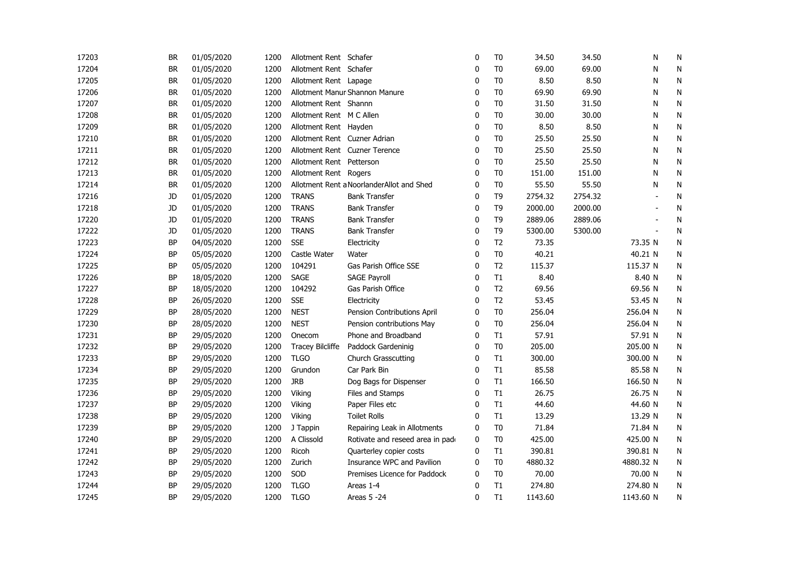| 17203 | <b>BR</b> | 01/05/2020 | 1200 | Allotment Rent Schafer       |                                           | 0            | T <sub>0</sub> | 34.50   | 34.50   | N         | N            |
|-------|-----------|------------|------|------------------------------|-------------------------------------------|--------------|----------------|---------|---------|-----------|--------------|
| 17204 | <b>BR</b> | 01/05/2020 | 1200 | Allotment Rent Schafer       |                                           | 0            | T <sub>0</sub> | 69.00   | 69.00   | N         | N            |
| 17205 | <b>BR</b> | 01/05/2020 | 1200 | Allotment Rent Lapage        |                                           | $\mathbf{0}$ | T <sub>0</sub> | 8.50    | 8.50    | N         | N            |
| 17206 | <b>BR</b> | 01/05/2020 | 1200 |                              | Allotment Manur Shannon Manure            | $\mathbf{0}$ | T <sub>0</sub> | 69.90   | 69.90   | N         | N            |
| 17207 | <b>BR</b> | 01/05/2020 | 1200 | Allotment Rent Shannn        |                                           | $\mathbf{0}$ | T <sub>0</sub> | 31.50   | 31.50   | N         | ${\sf N}$    |
| 17208 | <b>BR</b> | 01/05/2020 | 1200 | Allotment Rent M C Allen     |                                           | 0            | T <sub>0</sub> | 30.00   | 30.00   | N         | N            |
| 17209 | <b>BR</b> | 01/05/2020 | 1200 | Allotment Rent Hayden        |                                           | 0            | T <sub>0</sub> | 8.50    | 8.50    | N         | ${\sf N}$    |
| 17210 | <b>BR</b> | 01/05/2020 | 1200 | Allotment Rent Cuzner Adrian |                                           | 0            | T <sub>0</sub> | 25.50   | 25.50   | N         | N            |
| 17211 | <b>BR</b> | 01/05/2020 | 1200 |                              | Allotment Rent Cuzner Terence             | 0            | T <sub>0</sub> | 25.50   | 25.50   | N         | ${\sf N}$    |
| 17212 | <b>BR</b> | 01/05/2020 | 1200 | Allotment Rent Petterson     |                                           | 0            | T <sub>0</sub> | 25.50   | 25.50   | N         | ${\sf N}$    |
| 17213 | <b>BR</b> | 01/05/2020 | 1200 | Allotment Rent Rogers        |                                           | 0            | T <sub>0</sub> | 151.00  | 151.00  | N         | $\mathsf{N}$ |
| 17214 | <b>BR</b> | 01/05/2020 | 1200 |                              | Allotment Rent a NoorlanderAllot and Shed | 0            | T <sub>0</sub> | 55.50   | 55.50   | N         | N            |
| 17216 | JD        | 01/05/2020 | 1200 | <b>TRANS</b>                 | <b>Bank Transfer</b>                      | 0            | T <sub>9</sub> | 2754.32 | 2754.32 |           | N            |
| 17218 | JD        | 01/05/2020 | 1200 | <b>TRANS</b>                 | <b>Bank Transfer</b>                      | $\mathbf 0$  | T <sub>9</sub> | 2000.00 | 2000.00 |           | N            |
| 17220 | JD        | 01/05/2020 | 1200 | <b>TRANS</b>                 | <b>Bank Transfer</b>                      | $\mathbf{0}$ | T <sub>9</sub> | 2889.06 | 2889.06 | $\sim$    | N            |
| 17222 | JD        | 01/05/2020 | 1200 | <b>TRANS</b>                 | <b>Bank Transfer</b>                      | $\mathbf{0}$ | T <sub>9</sub> | 5300.00 | 5300.00 | $\sim$    | ${\sf N}$    |
| 17223 | <b>BP</b> | 04/05/2020 | 1200 | <b>SSE</b>                   | Electricity                               | $\mathbf{0}$ | T <sub>2</sub> | 73.35   |         | 73.35 N   | N            |
| 17224 | <b>BP</b> | 05/05/2020 | 1200 | Castle Water                 | Water                                     | $\mathbf{0}$ | T <sub>0</sub> | 40.21   |         | 40.21 N   | N            |
| 17225 | <b>BP</b> | 05/05/2020 | 1200 | 104291                       | Gas Parish Office SSE                     | $\mathbf{0}$ | T <sub>2</sub> | 115.37  |         | 115.37 N  | ${\sf N}$    |
| 17226 | <b>BP</b> | 18/05/2020 | 1200 | SAGE                         | <b>SAGE Payroll</b>                       | 0            | T1             | 8.40    |         | 8.40 N    | ${\sf N}$    |
| 17227 | <b>BP</b> | 18/05/2020 | 1200 | 104292                       | Gas Parish Office                         | 0            | T <sub>2</sub> | 69.56   |         | 69.56 N   | N            |
| 17228 | <b>BP</b> | 26/05/2020 | 1200 | <b>SSE</b>                   | Electricity                               | 0            | T <sub>2</sub> | 53.45   |         | 53.45 N   | ${\sf N}$    |
| 17229 | <b>BP</b> | 28/05/2020 | 1200 | <b>NEST</b>                  | Pension Contributions April               | 0            | T <sub>0</sub> | 256.04  |         | 256.04 N  | N            |
| 17230 | <b>BP</b> | 28/05/2020 | 1200 | <b>NEST</b>                  | Pension contributions May                 | 0            | T <sub>0</sub> | 256.04  |         | 256.04 N  | N            |
| 17231 | <b>BP</b> | 29/05/2020 | 1200 | Onecom                       | Phone and Broadband                       | 0            | T1             | 57.91   |         | 57.91 N   | N            |
| 17232 | <b>BP</b> | 29/05/2020 | 1200 | <b>Tracey Bilcliffe</b>      | Paddock Gardeninig                        | 0            | T <sub>0</sub> | 205.00  |         | 205.00 N  | N            |
| 17233 | <b>BP</b> | 29/05/2020 | 1200 | <b>TLGO</b>                  | Church Grasscutting                       | 0            | T1             | 300.00  |         | 300.00 N  | N            |
| 17234 | <b>BP</b> | 29/05/2020 | 1200 | Grundon                      | Car Park Bin                              | 0            | T1             | 85.58   |         | 85.58 N   | N            |
| 17235 | <b>BP</b> | 29/05/2020 | 1200 | <b>JRB</b>                   | Dog Bags for Dispenser                    | $\mathbf{0}$ | T1             | 166.50  |         | 166.50 N  | ${\sf N}$    |
| 17236 | <b>BP</b> | 29/05/2020 | 1200 | Viking                       | Files and Stamps                          | $\mathbf{0}$ | T1             | 26.75   |         | 26.75 N   | ${\sf N}$    |
| 17237 | <b>BP</b> | 29/05/2020 | 1200 | Viking                       | Paper Files etc                           | $\mathbf{0}$ | T1             | 44.60   |         | 44.60 N   | ${\sf N}$    |
| 17238 | <b>BP</b> | 29/05/2020 | 1200 | Viking                       | <b>Toilet Rolls</b>                       | $\mathbf{0}$ | T1             | 13.29   |         | 13.29 N   | N            |
| 17239 | <b>BP</b> | 29/05/2020 | 1200 | J Tappin                     | Repairing Leak in Allotments              | 0            | T <sub>0</sub> | 71.84   |         | 71.84 N   | N            |
| 17240 | <b>BP</b> | 29/05/2020 | 1200 | A Clissold                   | Rotivate and reseed area in pade          | 0            | T <sub>0</sub> | 425.00  |         | 425.00 N  | N            |
| 17241 | <b>BP</b> | 29/05/2020 | 1200 | Ricoh                        | Quarterley copier costs                   | 0            | T1             | 390.81  |         | 390.81 N  | N            |
| 17242 | <b>BP</b> | 29/05/2020 | 1200 | Zurich                       | Insurance WPC and Pavilion                | 0            | T <sub>0</sub> | 4880.32 |         | 4880.32 N | N            |
| 17243 | <b>BP</b> | 29/05/2020 | 1200 | SOD                          | Premises Licence for Paddock              | 0            | T <sub>0</sub> | 70.00   |         | 70.00 N   | N            |
| 17244 | BP        | 29/05/2020 | 1200 | <b>TLGO</b>                  | Areas 1-4                                 | 0            | T1             | 274.80  |         | 274.80 N  | N            |
| 17245 | <b>BP</b> | 29/05/2020 | 1200 | <b>TLGO</b>                  | Areas 5 -24                               | $\mathbf{0}$ | T1             | 1143.60 |         | 1143.60 N | N            |
|       |           |            |      |                              |                                           |              |                |         |         |           |              |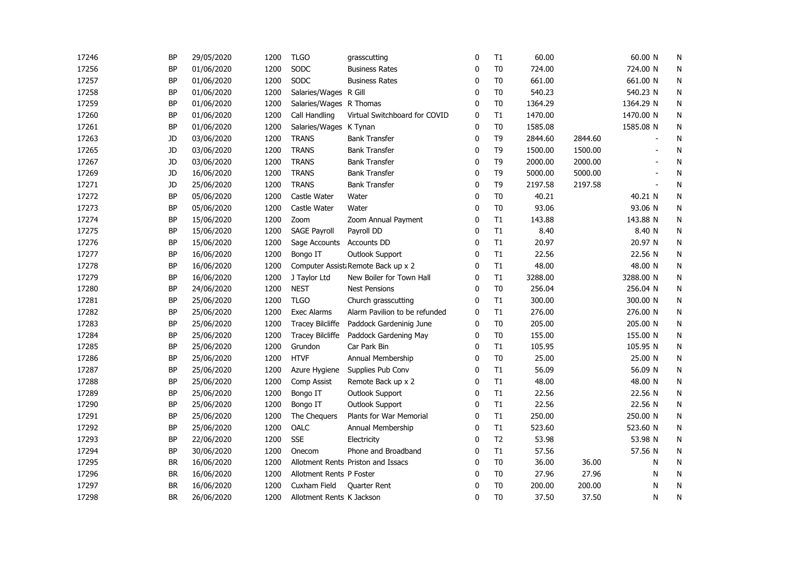| 17246 | BP        | 29/05/2020 | 1200 | <b>TLGO</b>               | grasscutting                       | 0            | T1             | 60.00   |         | 60.00 N   | N            |
|-------|-----------|------------|------|---------------------------|------------------------------------|--------------|----------------|---------|---------|-----------|--------------|
| 17256 | BP        | 01/06/2020 | 1200 | SODC                      | <b>Business Rates</b>              | 0            | T <sub>0</sub> | 724.00  |         | 724.00 N  | N            |
| 17257 | <b>BP</b> | 01/06/2020 | 1200 | SODC                      | <b>Business Rates</b>              | $\mathbf{0}$ | T <sub>0</sub> | 661.00  |         | 661.00 N  | ${\sf N}$    |
| 17258 | <b>BP</b> | 01/06/2020 | 1200 | Salaries/Wages R Gill     |                                    | $\Omega$     | T <sub>0</sub> | 540.23  |         | 540.23 N  | N            |
| 17259 | <b>BP</b> | 01/06/2020 | 1200 | Salaries/Wages R Thomas   |                                    | $\Omega$     | T <sub>0</sub> | 1364.29 |         | 1364.29 N | N            |
| 17260 | <b>BP</b> | 01/06/2020 | 1200 | Call Handling             | Virtual Switchboard for COVID      | $\mathbf 0$  | T1             | 1470.00 |         | 1470.00 N | N            |
| 17261 | BP        | 01/06/2020 | 1200 | Salaries/Wages K Tynan    |                                    | 0            | T <sub>0</sub> | 1585.08 |         | 1585.08 N | N            |
| 17263 | JD        | 03/06/2020 | 1200 | <b>TRANS</b>              | <b>Bank Transfer</b>               | 0            | T9             | 2844.60 | 2844.60 |           | N            |
| 17265 | JD        | 03/06/2020 | 1200 | <b>TRANS</b>              | <b>Bank Transfer</b>               | 0            | T <sub>9</sub> | 1500.00 | 1500.00 |           | ${\sf N}$    |
| 17267 | JD        | 03/06/2020 | 1200 | <b>TRANS</b>              | <b>Bank Transfer</b>               | 0            | T <sub>9</sub> | 2000.00 | 2000.00 |           | N            |
| 17269 | JD        | 16/06/2020 | 1200 | <b>TRANS</b>              | <b>Bank Transfer</b>               | 0            | T <sub>9</sub> | 5000.00 | 5000.00 |           | N            |
| 17271 | JD        | 25/06/2020 | 1200 | <b>TRANS</b>              | <b>Bank Transfer</b>               | 0            | T <sub>9</sub> | 2197.58 | 2197.58 |           | N            |
| 17272 | BP        | 05/06/2020 | 1200 | Castle Water              | Water                              | 0            | T <sub>0</sub> | 40.21   |         | 40.21 N   | N            |
| 17273 | <b>BP</b> | 05/06/2020 | 1200 | Castle Water              | Water                              | 0            | T <sub>0</sub> | 93.06   |         | 93.06 N   | N            |
| 17274 | <b>BP</b> | 15/06/2020 | 1200 | Zoom                      | Zoom Annual Payment                | $\mathbf{0}$ | T1             | 143.88  |         | 143.88 N  | N            |
| 17275 | <b>BP</b> | 15/06/2020 | 1200 | <b>SAGE Payroll</b>       | Payroll DD                         | $\Omega$     | T1             | 8.40    |         | 8.40 N    | $\mathsf{N}$ |
| 17276 | <b>BP</b> | 15/06/2020 | 1200 | Sage Accounts             | Accounts DD                        | $\mathbf{0}$ | T1             | 20.97   |         | 20.97 N   | N            |
| 17277 | BP        | 16/06/2020 | 1200 | Bongo IT                  | Outlook Support                    | 0            | T1             | 22.56   |         | 22.56 N   | N            |
| 17278 | BP        | 16/06/2020 | 1200 |                           | Computer Assist Remote Back up x 2 | 0            | T1             | 48.00   |         | 48.00 N   | N            |
| 17279 | <b>BP</b> | 16/06/2020 | 1200 | J Taylor Ltd              | New Boiler for Town Hall           | 0            | T1             | 3288.00 |         | 3288.00 N | N            |
| 17280 | <b>BP</b> | 24/06/2020 | 1200 | <b>NEST</b>               | <b>Nest Pensions</b>               | 0            | T <sub>0</sub> | 256.04  |         | 256.04 N  | N            |
| 17281 | <b>BP</b> | 25/06/2020 | 1200 | <b>TLGO</b>               | Church grasscutting                | 0            | T1             | 300.00  |         | 300.00 N  | N            |
| 17282 | BP        | 25/06/2020 | 1200 | <b>Exec Alarms</b>        | Alarm Pavilion to be refunded      | 0            | T1             | 276.00  |         | 276.00 N  | N            |
| 17283 | BP        | 25/06/2020 | 1200 | <b>Tracey Bilcliffe</b>   | Paddock Gardeninig June            | 0            | T <sub>0</sub> | 205.00  |         | 205.00 N  | N            |
| 17284 | BP        | 25/06/2020 | 1200 | <b>Tracey Bilcliffe</b>   | Paddock Gardening May              | 0            | T <sub>0</sub> | 155.00  |         | 155.00 N  | N            |
| 17285 | <b>BP</b> | 25/06/2020 | 1200 | Grundon                   | Car Park Bin                       | 0            | T1             | 105.95  |         | 105.95 N  | N            |
| 17286 | BP        | 25/06/2020 | 1200 | <b>HTVF</b>               | Annual Membership                  | $\mathbf{0}$ | T <sub>0</sub> | 25.00   |         | 25.00 N   | N            |
| 17287 | BP        | 25/06/2020 | 1200 | Azure Hygiene             | Supplies Pub Conv                  | $\mathbf{0}$ | T1             | 56.09   |         | 56.09 N   | N            |
| 17288 | BP        | 25/06/2020 | 1200 | Comp Assist               | Remote Back up x 2                 | $\mathbf{0}$ | T1             | 48.00   |         | 48.00 N   | N            |
| 17289 | BP        | 25/06/2020 | 1200 | Bongo IT                  | <b>Outlook Support</b>             | $\mathbf{0}$ | T1             | 22.56   |         | 22.56 N   | ${\sf N}$    |
| 17290 | <b>BP</b> | 25/06/2020 | 1200 | Bongo IT                  | <b>Outlook Support</b>             | 0            | T1             | 22.56   |         | 22.56 N   | N            |
| 17291 | <b>BP</b> | 25/06/2020 | 1200 | The Chequers              | Plants for War Memorial            | $\Omega$     | T1             | 250.00  |         | 250.00 N  | N            |
| 17292 | <b>BP</b> | 25/06/2020 | 1200 | OALC                      | Annual Membership                  | 0            | T1             | 523.60  |         | 523.60 N  | N            |
| 17293 | BP        | 22/06/2020 | 1200 | <b>SSE</b>                | Electricity                        | 0            | T <sub>2</sub> | 53.98   |         | 53.98 N   | N            |
| 17294 | BP        | 30/06/2020 | 1200 | Onecom                    | Phone and Broadband                | 0            | T1             | 57.56   |         | 57.56 N   | N            |
| 17295 | <b>BR</b> | 16/06/2020 | 1200 |                           | Allotment Rents Priston and Issacs | 0            | T <sub>0</sub> | 36.00   | 36.00   | N         | N            |
| 17296 | <b>BR</b> | 16/06/2020 | 1200 | Allotment Rents P Foster  |                                    | 0            | T <sub>0</sub> | 27.96   | 27.96   | N         | ${\sf N}$    |
| 17297 | <b>BR</b> | 16/06/2020 | 1200 | Cuxham Field              | <b>Quarter Rent</b>                | $\mathbf{0}$ | T <sub>0</sub> | 200.00  | 200.00  | N         | N            |
| 17298 | <b>BR</b> | 26/06/2020 | 1200 | Allotment Rents K Jackson |                                    | 0            | T <sub>0</sub> | 37.50   | 37.50   | N         | N            |
|       |           |            |      |                           |                                    |              |                |         |         |           |              |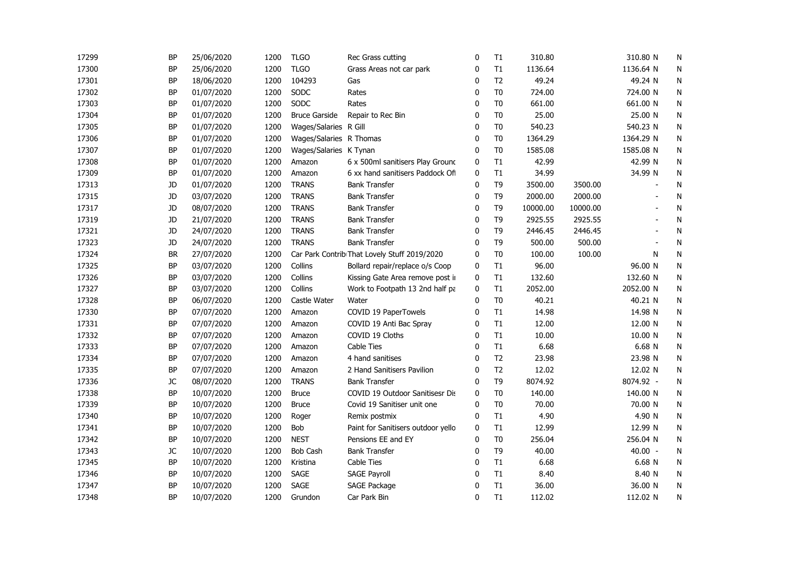| 17299 | <b>BP</b> | 25/06/2020 | 1200 | <b>TLGO</b>             | Rec Grass cutting                            | 0            | T1             | 310.80   |          | 310.80 N                 | N         |
|-------|-----------|------------|------|-------------------------|----------------------------------------------|--------------|----------------|----------|----------|--------------------------|-----------|
| 17300 | <b>BP</b> | 25/06/2020 | 1200 | <b>TLGO</b>             | Grass Areas not car park                     | 0            | T1             | 1136.64  |          | 1136.64 N                | N         |
| 17301 | <b>BP</b> | 18/06/2020 | 1200 | 104293                  | Gas                                          | 0            | T <sub>2</sub> | 49.24    |          | 49.24 N                  | ${\sf N}$ |
| 17302 | <b>BP</b> | 01/07/2020 | 1200 | SODC                    | Rates                                        | $\mathbf{0}$ | T <sub>0</sub> | 724.00   |          | 724.00 N                 | N         |
| 17303 | <b>BP</b> | 01/07/2020 | 1200 | SODC                    | Rates                                        | $\mathbf{0}$ | T <sub>0</sub> | 661.00   |          | 661.00 N                 | N         |
| 17304 | <b>BP</b> | 01/07/2020 | 1200 | <b>Bruce Garside</b>    | Repair to Rec Bin                            | 0            | T <sub>0</sub> | 25.00    |          | 25.00 N                  | N         |
| 17305 | <b>BP</b> | 01/07/2020 | 1200 | Wages/Salaries R Gill   |                                              | 0            | T <sub>0</sub> | 540.23   |          | 540.23 N                 | N         |
| 17306 | <b>BP</b> | 01/07/2020 | 1200 | Wages/Salaries R Thomas |                                              | 0            | T <sub>0</sub> | 1364.29  |          | 1364.29 N                | N         |
| 17307 | <b>BP</b> | 01/07/2020 | 1200 | Wages/Salaries K Tynan  |                                              | 0            | T <sub>0</sub> | 1585.08  |          | 1585.08 N                | N         |
| 17308 | <b>BP</b> | 01/07/2020 | 1200 | Amazon                  | 6 x 500ml sanitisers Play Ground             | 0            | T1             | 42.99    |          | 42.99 N                  | ${\sf N}$ |
| 17309 | <b>BP</b> | 01/07/2020 | 1200 | Amazon                  | 6 xx hand sanitisers Paddock Off             | $\mathbf 0$  | T1             | 34.99    |          | 34.99 N                  | ${\sf N}$ |
| 17313 | JD        | 01/07/2020 | 1200 | <b>TRANS</b>            | <b>Bank Transfer</b>                         | 0            | T <sub>9</sub> | 3500.00  | 3500.00  |                          | N         |
| 17315 | JD        | 03/07/2020 | 1200 | <b>TRANS</b>            | <b>Bank Transfer</b>                         | 0            | T <sub>9</sub> | 2000.00  | 2000.00  |                          | N         |
| 17317 | JD        | 08/07/2020 | 1200 | <b>TRANS</b>            | <b>Bank Transfer</b>                         | 0            | T <sub>9</sub> | 10000.00 | 10000.00 |                          | N         |
| 17319 | JD        | 21/07/2020 | 1200 | <b>TRANS</b>            | <b>Bank Transfer</b>                         | 0            | T <sub>9</sub> | 2925.55  | 2925.55  |                          | N         |
| 17321 | JD        | 24/07/2020 | 1200 | <b>TRANS</b>            | <b>Bank Transfer</b>                         | 0            | T <sub>9</sub> | 2446.45  | 2446.45  | $\overline{\phantom{a}}$ | N         |
| 17323 | <b>JD</b> | 24/07/2020 | 1200 | <b>TRANS</b>            | <b>Bank Transfer</b>                         | $\mathbf{0}$ | T <sub>9</sub> | 500.00   | 500.00   | $\overline{\phantom{a}}$ | ${\sf N}$ |
| 17324 | <b>BR</b> | 27/07/2020 | 1200 |                         | Car Park Contrib That Lovely Stuff 2019/2020 | $\mathbf{0}$ | T <sub>0</sub> | 100.00   | 100.00   | N                        | N         |
| 17325 | <b>BP</b> | 03/07/2020 | 1200 | Collins                 | Bollard repair/replace o/s Coop              | $\mathbf 0$  | T1             | 96.00    |          | 96.00 N                  | ${\sf N}$ |
| 17326 | <b>BP</b> | 03/07/2020 | 1200 | Collins                 | Kissing Gate Area remove post in             | $\mathbf 0$  | T1             | 132.60   |          | 132.60 N                 | N         |
| 17327 | <b>BP</b> | 03/07/2020 | 1200 | Collins                 | Work to Footpath 13 2nd half pa              | 0            | T1             | 2052.00  |          | 2052.00 N                | N         |
| 17328 | <b>BP</b> | 06/07/2020 | 1200 | Castle Water            | Water                                        | 0            | T <sub>0</sub> | 40.21    |          | 40.21 N                  | N         |
| 17330 | <b>BP</b> | 07/07/2020 | 1200 | Amazon                  | COVID 19 PaperTowels                         | 0            | T1             | 14.98    |          | 14.98 N                  | ${\sf N}$ |
| 17331 | <b>BP</b> | 07/07/2020 | 1200 | Amazon                  | COVID 19 Anti Bac Spray                      | 0            | T1             | 12.00    |          | 12.00 N                  | N         |
| 17332 | <b>BP</b> | 07/07/2020 | 1200 | Amazon                  | COVID 19 Cloths                              | 0            | T1             | 10.00    |          | 10.00 N                  | N         |
| 17333 | <b>BP</b> | 07/07/2020 | 1200 | Amazon                  | Cable Ties                                   | 0            | T1             | 6.68     |          | 6.68 N                   | N         |
| 17334 | <b>BP</b> | 07/07/2020 | 1200 | Amazon                  | 4 hand sanitises                             | 0            | T <sub>2</sub> | 23.98    |          | 23.98 N                  | N         |
| 17335 | <b>BP</b> | 07/07/2020 | 1200 | Amazon                  | 2 Hand Sanitisers Pavilion                   | 0            | T <sub>2</sub> | 12.02    |          | 12.02 N                  | N         |
| 17336 | JC        | 08/07/2020 | 1200 | <b>TRANS</b>            | <b>Bank Transfer</b>                         | $\Omega$     | T <sub>9</sub> | 8074.92  |          | 8074.92 -                | N         |
| 17338 | <b>BP</b> | 10/07/2020 | 1200 | <b>Bruce</b>            | COVID 19 Outdoor Sanitisesr Dis              | $\mathbf 0$  | T <sub>0</sub> | 140.00   |          | 140.00 N                 | N         |
| 17339 | <b>BP</b> | 10/07/2020 | 1200 | <b>Bruce</b>            | Covid 19 Sanitiser unit one                  | $\mathbf 0$  | T <sub>0</sub> | 70.00    |          | 70.00 N                  | N         |
| 17340 | <b>BP</b> | 10/07/2020 | 1200 | Roger                   | Remix postmix                                | $\mathbf 0$  | T1             | 4.90     |          | 4.90 N                   | ${\sf N}$ |
| 17341 | <b>BP</b> | 10/07/2020 | 1200 | Bob                     | Paint for Sanitisers outdoor yello           | $\mathbf 0$  | T1             | 12.99    |          | 12.99 N                  | N         |
| 17342 | <b>BP</b> | 10/07/2020 | 1200 | <b>NEST</b>             | Pensions EE and EY                           | 0            | T <sub>0</sub> | 256.04   |          | 256.04 N                 | N         |
| 17343 | JC        | 10/07/2020 | 1200 | <b>Bob Cash</b>         | <b>Bank Transfer</b>                         | 0            | T <sub>9</sub> | 40.00    |          | $40.00 -$                | N         |
| 17345 | <b>BP</b> | 10/07/2020 | 1200 | Kristina                | Cable Ties                                   | 0            | T1             | 6.68     |          | 6.68 N                   | ${\sf N}$ |
| 17346 | <b>BP</b> | 10/07/2020 | 1200 | <b>SAGE</b>             | <b>SAGE Payroll</b>                          | 0            | T1             | 8.40     |          | 8.40 N                   | ${\sf N}$ |
| 17347 | <b>BP</b> | 10/07/2020 | 1200 | <b>SAGE</b>             | SAGE Package                                 | 0            | T1             | 36.00    |          | 36.00 N                  | N         |
| 17348 | <b>BP</b> | 10/07/2020 | 1200 | Grundon                 | Car Park Bin                                 | $\mathbf{0}$ | T1             | 112.02   |          | 112.02 N                 | N         |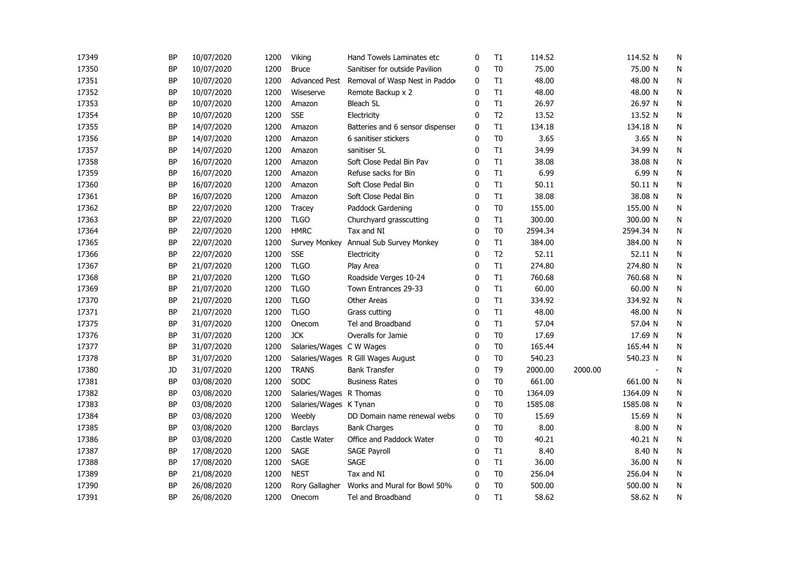| 17349 | ΒP        | 10/07/2020 | 1200 | Viking                   | Hand Towels Laminates etc          | 0            | T1             | 114.52  |         | 114.52 N       | N            |
|-------|-----------|------------|------|--------------------------|------------------------------------|--------------|----------------|---------|---------|----------------|--------------|
| 17350 | <b>BP</b> | 10/07/2020 | 1200 | <b>Bruce</b>             | Sanitiser for outside Pavilion     | 0            | T <sub>0</sub> | 75.00   |         | 75.00 N        | N            |
| 17351 | <b>BP</b> | 10/07/2020 | 1200 | <b>Advanced Pest</b>     | Removal of Wasp Nest in Paddo      | 0            | T1             | 48.00   |         | 48.00 N        | N            |
| 17352 | <b>BP</b> | 10/07/2020 | 1200 | Wiseserve                | Remote Backup x 2                  | $\mathbf{0}$ | T1             | 48.00   |         | 48.00 N        | ${\sf N}$    |
| 17353 | <b>BP</b> | 10/07/2020 | 1200 | Amazon                   | Bleach 5L                          | $\mathbf{0}$ | T1             | 26.97   |         | 26.97 N        | N            |
| 17354 | <b>BP</b> | 10/07/2020 | 1200 | <b>SSE</b>               | Electricity                        | $\Omega$     | T <sub>2</sub> | 13.52   |         | 13.52 N        | N            |
| 17355 | <b>BP</b> | 14/07/2020 | 1200 | Amazon                   | Batteries and 6 sensor dispenser   | $\mathbf 0$  | T1             | 134.18  |         | 134.18 N       | N            |
| 17356 | <b>BP</b> | 14/07/2020 | 1200 | Amazon                   | 6 sanitiser stickers               | $\mathbf 0$  | T <sub>0</sub> | 3.65    |         | 3.65 N         | N            |
| 17357 | <b>BP</b> | 14/07/2020 | 1200 | Amazon                   | sanitiser 5L                       | 0            | T1             | 34.99   |         | 34.99 N        | N            |
| 17358 | <b>BP</b> | 16/07/2020 | 1200 | Amazon                   | Soft Close Pedal Bin Pav           | 0            | T1             | 38.08   |         | 38.08 N        | N            |
| 17359 | ΒP        | 16/07/2020 | 1200 | Amazon                   | Refuse sacks for Bin               | 0            | T1             | 6.99    |         | 6.99 N         | N            |
| 17360 | BP        | 16/07/2020 | 1200 | Amazon                   | Soft Close Pedal Bin               | $\Omega$     | T1             | 50.11   |         | 50.11 N        | ${\sf N}$    |
| 17361 | <b>BP</b> | 16/07/2020 | 1200 | Amazon                   | Soft Close Pedal Bin               | $\mathbf{0}$ | T1             | 38.08   |         | 38.08 N        | $\mathsf{N}$ |
| 17362 | <b>BP</b> | 22/07/2020 | 1200 | <b>Tracey</b>            | Paddock Gardening                  | $\mathbf 0$  | T <sub>0</sub> | 155.00  |         | 155.00 N       | N            |
| 17363 | <b>BP</b> | 22/07/2020 | 1200 | <b>TLGO</b>              | Churchyard grasscutting            | $\mathbf{0}$ | T1             | 300.00  |         | 300.00 N       | N            |
| 17364 | <b>BP</b> | 22/07/2020 | 1200 | <b>HMRC</b>              | Tax and NI                         | $\mathbf{0}$ | T <sub>0</sub> | 2594.34 |         | 2594.34 N      | N            |
| 17365 | <b>BP</b> | 22/07/2020 | 1200 | Survey Monkey            | Annual Sub Survey Monkey           | $\mathbf 0$  | T1             | 384.00  |         | 384.00 N       | N            |
| 17366 | <b>BP</b> | 22/07/2020 | 1200 | <b>SSE</b>               | Electricity                        | $\mathbf{0}$ | T <sub>2</sub> | 52.11   |         | 52.11 N        | N            |
| 17367 | ΒP        | 21/07/2020 | 1200 | <b>TLGO</b>              | Play Area                          | $\mathbf 0$  | T1             | 274.80  |         | 274.80 N       | ${\sf N}$    |
| 17368 | <b>BP</b> | 21/07/2020 | 1200 | <b>TLGO</b>              | Roadside Verges 10-24              | $\mathbf{0}$ | T1             | 760.68  |         | 760.68 N       | ${\sf N}$    |
| 17369 | <b>BP</b> | 21/07/2020 | 1200 | <b>TLGO</b>              | Town Entrances 29-33               | $\mathbf{0}$ | T1             | 60.00   |         | 60.00 N        | N            |
| 17370 | BP        | 21/07/2020 | 1200 | <b>TLGO</b>              | <b>Other Areas</b>                 | $\mathbf{0}$ | T1             | 334.92  |         | 334.92 N       | N            |
| 17371 | <b>BP</b> | 21/07/2020 | 1200 | <b>TLGO</b>              | Grass cutting                      | $\mathbf 0$  | T1             | 48.00   |         | 48.00 N        | N            |
| 17375 | <b>BP</b> | 31/07/2020 | 1200 | Onecom                   | Tel and Broadband                  | 0            | T1             | 57.04   |         | 57.04 N        | N            |
| 17376 | <b>BP</b> | 31/07/2020 | 1200 | <b>JCK</b>               | Overalls for Jamie                 | 0            | T <sub>0</sub> | 17.69   |         | 17.69 N        | N            |
| 17377 | <b>BP</b> | 31/07/2020 | 1200 | Salaries/Wages C W Wages |                                    | 0            | T <sub>0</sub> | 165.44  |         | 165.44 N       | N            |
| 17378 | <b>BP</b> | 31/07/2020 | 1200 |                          | Salaries/Wages R Gill Wages August | 0            | T <sub>0</sub> | 540.23  |         | 540.23 N       | N            |
| 17380 | JD        | 31/07/2020 | 1200 | <b>TRANS</b>             | <b>Bank Transfer</b>               | $\mathbf{0}$ | T <sub>9</sub> | 2000.00 | 2000.00 | $\overline{a}$ | N            |
| 17381 | <b>BP</b> | 03/08/2020 | 1200 | <b>SODC</b>              | <b>Business Rates</b>              | $\mathbf{0}$ | T <sub>0</sub> | 661.00  |         | 661.00 N       | ${\sf N}$    |
| 17382 | <b>BP</b> | 03/08/2020 | 1200 | Salaries/Wages R Thomas  |                                    | $\mathbf{0}$ | T <sub>0</sub> | 1364.09 |         | 1364.09 N      | N            |
| 17383 | <b>BP</b> | 03/08/2020 | 1200 | Salaries/Wages K Tynan   |                                    | $\mathbf{0}$ | T <sub>0</sub> | 1585.08 |         | 1585.08 N      | N            |
| 17384 | <b>BP</b> | 03/08/2020 | 1200 | Weebly                   | DD Domain name renewal websi       | $\mathbf 0$  | T <sub>0</sub> | 15.69   |         | 15.69 N        | N            |
| 17385 | <b>BP</b> | 03/08/2020 | 1200 | Barclays                 | <b>Bank Charges</b>                | $\mathbf 0$  | T <sub>0</sub> | 8.00    |         | 8.00 N         | N            |
| 17386 | <b>BP</b> | 03/08/2020 | 1200 | Castle Water             | Office and Paddock Water           | 0            | T <sub>0</sub> | 40.21   |         | 40.21 N        | N            |
| 17387 | ΒP        | 17/08/2020 | 1200 | SAGE                     | <b>SAGE Payroll</b>                | 0            | T1             | 8.40    |         | 8.40 N         | ${\sf N}$    |
| 17388 | <b>BP</b> | 17/08/2020 | 1200 | SAGE                     | SAGE                               | $\mathbf{0}$ | T1             | 36.00   |         | 36.00 N        | ${\sf N}$    |
| 17389 | <b>BP</b> | 21/08/2020 | 1200 | <b>NEST</b>              | Tax and NI                         | $\mathbf 0$  | T <sub>0</sub> | 256.04  |         | 256.04 N       | N            |
| 17390 | BP        | 26/08/2020 | 1200 | Rory Gallagher           | Works and Mural for Bowl 50%       | $\mathbf 0$  | T <sub>0</sub> | 500.00  |         | 500.00 N       | N            |
| 17391 | <b>BP</b> | 26/08/2020 | 1200 | Onecom                   | Tel and Broadband                  | $\mathbf{0}$ | T1             | 58.62   |         | 58.62 N        | N            |
|       |           |            |      |                          |                                    |              |                |         |         |                |              |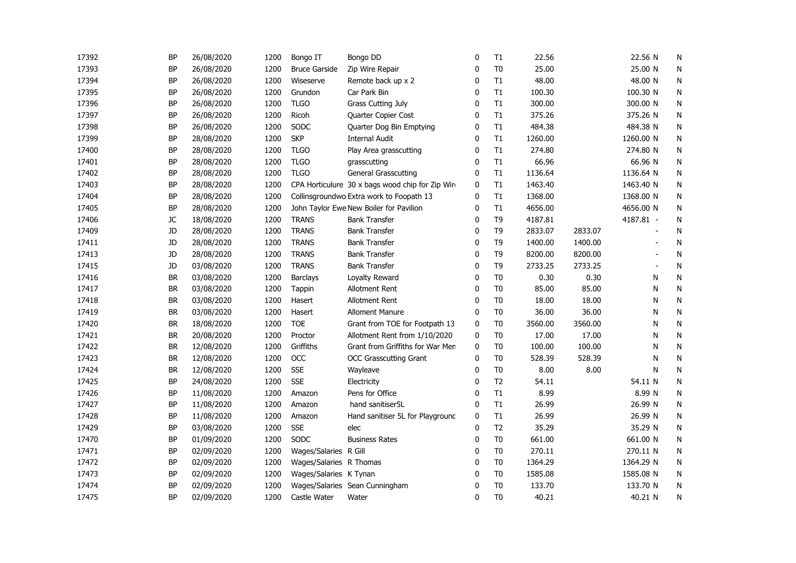| 17392 | <b>BP</b> | 26/08/2020 | 1200 | Bongo IT                | Bongo DD                                         | 0            | T1             | 22.56   |         | 22.56 N        | N            |
|-------|-----------|------------|------|-------------------------|--------------------------------------------------|--------------|----------------|---------|---------|----------------|--------------|
| 17393 | <b>BP</b> | 26/08/2020 | 1200 | <b>Bruce Garside</b>    | Zip Wire Repair                                  | 0            | T <sub>0</sub> | 25.00   |         | 25.00 N        | N            |
| 17394 | <b>BP</b> | 26/08/2020 | 1200 | Wiseserve               | Remote back up x 2                               | 0            | T1             | 48.00   |         | 48.00 N        | N            |
| 17395 | <b>BP</b> | 26/08/2020 | 1200 | Grundon                 | Car Park Bin                                     | $\mathbf{0}$ | T1             | 100.30  |         | 100.30 N       | ${\sf N}$    |
| 17396 | <b>BP</b> | 26/08/2020 | 1200 | <b>TLGO</b>             | <b>Grass Cutting July</b>                        | $\mathbf{0}$ | T1             | 300.00  |         | 300.00 N       | N            |
| 17397 | <b>BP</b> | 26/08/2020 | 1200 | Ricoh                   | Quarter Copier Cost                              | $\mathbf 0$  | T1             | 375.26  |         | 375.26 N       | N            |
| 17398 | <b>BP</b> | 26/08/2020 | 1200 | SODC                    | Quarter Dog Bin Emptying                         | 0            | T1             | 484.38  |         | 484.38 N       | N            |
| 17399 | <b>BP</b> | 28/08/2020 | 1200 | <b>SKP</b>              | <b>Internal Audit</b>                            | 0            | T1             | 1260.00 |         | 1260.00 N      | N            |
| 17400 | BP        | 28/08/2020 | 1200 | <b>TLGO</b>             | Play Area grasscutting                           | 0            | T1             | 274.80  |         | 274.80 N       | ${\sf N}$    |
| 17401 | <b>BP</b> | 28/08/2020 | 1200 | <b>TLGO</b>             | grasscutting                                     | 0            | T1             | 66.96   |         | 66.96 N        | ${\sf N}$    |
| 17402 | <b>BP</b> | 28/08/2020 | 1200 | <b>TLGO</b>             | <b>General Grasscutting</b>                      | 0            | T1             | 1136.64 |         | 1136.64 N      | ${\sf N}$    |
| 17403 | <b>BP</b> | 28/08/2020 | 1200 |                         | CPA Horticulure 30 x bags wood chip for Zip Wire | 0            | T1             | 1463.40 |         | 1463.40 N      | N            |
| 17404 | <b>BP</b> | 28/08/2020 | 1200 |                         | Collinsgroundwo Extra work to Foopath 13         | 0            | T1             | 1368.00 |         | 1368.00 N      | N            |
| 17405 | <b>BP</b> | 28/08/2020 | 1200 |                         | John Taylor Ewe New Boiler for Pavilion          | 0            | T1             | 4656.00 |         | 4656.00 N      | N            |
| 17406 | JC        | 18/08/2020 | 1200 | <b>TRANS</b>            | <b>Bank Transfer</b>                             | 0            | T <sub>9</sub> | 4187.81 |         | 4187.81 -      | N            |
| 17409 | JD        | 28/08/2020 | 1200 | <b>TRANS</b>            | <b>Bank Transfer</b>                             | 0            | T <sub>9</sub> | 2833.07 | 2833.07 |                | N            |
| 17411 | JD        | 28/08/2020 | 1200 | <b>TRANS</b>            | <b>Bank Transfer</b>                             | $\mathbf{0}$ | T <sub>9</sub> | 1400.00 | 1400.00 |                | N            |
| 17413 | JD        | 28/08/2020 | 1200 | <b>TRANS</b>            | <b>Bank Transfer</b>                             | $\mathbf{0}$ | T <sub>9</sub> | 8200.00 | 8200.00 | $\blacksquare$ | N            |
| 17415 | JD        | 03/08/2020 | 1200 | <b>TRANS</b>            | <b>Bank Transfer</b>                             | $\mathbf 0$  | T <sub>9</sub> | 2733.25 | 2733.25 | $\sim$         | N            |
| 17416 | <b>BR</b> | 03/08/2020 | 1200 | <b>Barclays</b>         | Loyalty Reward                                   | 0            | T <sub>0</sub> | 0.30    | 0.30    | N              | N            |
| 17417 | <b>BR</b> | 03/08/2020 | 1200 | <b>Tappin</b>           | Allotment Rent                                   | 0            | T <sub>0</sub> | 85.00   | 85.00   | N              | N            |
| 17418 | <b>BR</b> | 03/08/2020 | 1200 | Hasert                  | Allotment Rent                                   | 0            | T <sub>0</sub> | 18.00   | 18.00   | N              | N            |
| 17419 | <b>BR</b> | 03/08/2020 | 1200 | Hasert                  | <b>Alloment Manure</b>                           | 0            | T <sub>0</sub> | 36.00   | 36.00   | N              | N            |
| 17420 | <b>BR</b> | 18/08/2020 | 1200 | <b>TOE</b>              | Grant from TOE for Footpath 13                   | 0            | T <sub>0</sub> | 3560.00 | 3560.00 | N              | $\mathsf{N}$ |
| 17421 | <b>BR</b> | 20/08/2020 | 1200 | Proctor                 | Allotment Rent from 1/10/2020                    | $\mathbf 0$  | T <sub>0</sub> | 17.00   | 17.00   | N              | N            |
| 17422 | <b>BR</b> | 12/08/2020 | 1200 | Griffiths               | Grant from Griffiths for War Men                 | 0            | T <sub>0</sub> | 100.00  | 100.00  | N              | N            |
| 17423 | <b>BR</b> | 12/08/2020 | 1200 | OCC                     | <b>OCC Grasscutting Grant</b>                    | 0            | T <sub>0</sub> | 528.39  | 528.39  | N              | N            |
| 17424 | <b>BR</b> | 12/08/2020 | 1200 | <b>SSE</b>              | Wayleave                                         | 0            | T <sub>0</sub> | 8.00    | 8.00    | N              | N            |
| 17425 | <b>BP</b> | 24/08/2020 | 1200 | <b>SSE</b>              | Electricity                                      | 0            | T <sub>2</sub> | 54.11   |         | 54.11 N        | ${\sf N}$    |
| 17426 | <b>BP</b> | 11/08/2020 | 1200 | Amazon                  | Pens for Office                                  | $\mathbf{0}$ | T1             | 8.99    |         | 8.99 N         | ${\sf N}$    |
| 17427 | <b>BP</b> | 11/08/2020 | 1200 | Amazon                  | hand sanitiser5L                                 | $\mathbf{0}$ | T1             | 26.99   |         | 26.99 N        | ${\sf N}$    |
| 17428 | <b>BP</b> | 11/08/2020 | 1200 | Amazon                  | Hand sanitiser 5L for Playground                 | $\mathbf 0$  | T1             | 26.99   |         | 26.99 N        | N            |
| 17429 | <b>BP</b> | 03/08/2020 | 1200 | <b>SSE</b>              | elec                                             | $\mathbf 0$  | T <sub>2</sub> | 35.29   |         | 35.29 N        | N            |
| 17470 | <b>BP</b> | 01/09/2020 | 1200 | SODC                    | <b>Business Rates</b>                            | 0            | T <sub>0</sub> | 661.00  |         | 661.00 N       | N            |
| 17471 | <b>BP</b> | 02/09/2020 | 1200 | Wages/Salaries R Gill   |                                                  | 0            | T <sub>0</sub> | 270.11  |         | 270.11 N       | N            |
| 17472 | <b>BP</b> | 02/09/2020 | 1200 | Wages/Salaries R Thomas |                                                  | 0            | T <sub>0</sub> | 1364.29 |         | 1364.29 N      | ${\sf N}$    |
| 17473 | <b>BP</b> | 02/09/2020 | 1200 | Wages/Salaries K Tynan  |                                                  | 0            | T <sub>0</sub> | 1585.08 |         | 1585.08 N      | ${\sf N}$    |
| 17474 | <b>BP</b> | 02/09/2020 | 1200 |                         | Wages/Salaries Sean Cunningham                   | 0            | T <sub>0</sub> | 133.70  |         | 133.70 N       | N            |
| 17475 | <b>BP</b> | 02/09/2020 | 1200 | Castle Water            | Water                                            | $\mathbf{0}$ | T <sub>0</sub> | 40.21   |         | 40.21 N        | N            |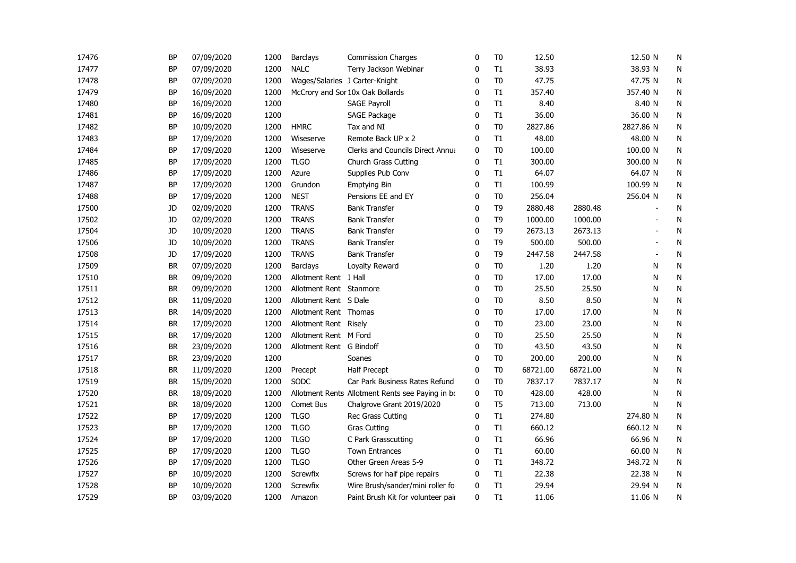| 17476 | <b>BP</b> | 07/09/2020 | 1200 | <b>Barclays</b>          | <b>Commission Charges</b>                        | 0            | T <sub>0</sub> | 12.50    |          | 12.50 N        | N         |
|-------|-----------|------------|------|--------------------------|--------------------------------------------------|--------------|----------------|----------|----------|----------------|-----------|
| 17477 | <b>BP</b> | 07/09/2020 | 1200 | <b>NALC</b>              | Terry Jackson Webinar                            | 0            | T1             | 38.93    |          | 38.93 N        | N         |
| 17478 | <b>BP</b> | 07/09/2020 | 1200 |                          | Wages/Salaries J Carter-Knight                   | 0            | T <sub>0</sub> | 47.75    |          | 47.75 N        | N         |
| 17479 | <b>BP</b> | 16/09/2020 | 1200 |                          | McCrory and Sor 10x Oak Bollards                 | $\mathbf{0}$ | T1             | 357.40   |          | 357.40 N       | N         |
| 17480 | <b>BP</b> | 16/09/2020 | 1200 |                          | <b>SAGE Payroll</b>                              | $\mathbf{0}$ | T1             | 8.40     |          | 8.40 N         | N         |
| 17481 | <b>BP</b> | 16/09/2020 | 1200 |                          | SAGE Package                                     | 0            | T1             | 36.00    |          | 36.00 N        | N         |
| 17482 | <b>BP</b> | 10/09/2020 | 1200 | <b>HMRC</b>              | Tax and NI                                       | 0            | T <sub>0</sub> | 2827.86  |          | 2827.86 N      | N         |
| 17483 | <b>BP</b> | 17/09/2020 | 1200 | Wiseserve                | Remote Back UP x 2                               | 0            | T1             | 48.00    |          | 48.00 N        | N         |
| 17484 | <b>BP</b> | 17/09/2020 | 1200 | Wiseserve                | <b>Clerks and Councils Direct Annua</b>          | 0            | T <sub>0</sub> | 100.00   |          | 100.00 N       | N         |
| 17485 | <b>BP</b> | 17/09/2020 | 1200 | <b>TLGO</b>              | Church Grass Cutting                             | 0            | T1             | 300.00   |          | 300.00 N       | ${\sf N}$ |
| 17486 | <b>BP</b> | 17/09/2020 | 1200 | Azure                    | Supplies Pub Conv                                | 0            | T1             | 64.07    |          | 64.07 N        | N         |
| 17487 | <b>BP</b> | 17/09/2020 | 1200 | Grundon                  | <b>Emptying Bin</b>                              | 0            | T1             | 100.99   |          | 100.99 N       | N         |
| 17488 | <b>BP</b> | 17/09/2020 | 1200 | <b>NEST</b>              | Pensions EE and EY                               | 0            | T <sub>0</sub> | 256.04   |          | 256.04 N       | N         |
| 17500 | JD        | 02/09/2020 | 1200 | <b>TRANS</b>             | <b>Bank Transfer</b>                             | 0            | T <sub>9</sub> | 2880.48  | 2880.48  |                | N         |
| 17502 | JD        | 02/09/2020 | 1200 | <b>TRANS</b>             | <b>Bank Transfer</b>                             | 0            | T <sub>9</sub> | 1000.00  | 1000.00  | $\overline{a}$ | N         |
| 17504 | JD        | 10/09/2020 | 1200 | <b>TRANS</b>             | <b>Bank Transfer</b>                             | 0            | T <sub>9</sub> | 2673.13  | 2673.13  |                | N         |
| 17506 | JD        | 10/09/2020 | 1200 | <b>TRANS</b>             | <b>Bank Transfer</b>                             | $\mathbf{0}$ | T <sub>9</sub> | 500.00   | 500.00   |                | N         |
| 17508 | JD        | 17/09/2020 | 1200 | <b>TRANS</b>             | <b>Bank Transfer</b>                             | $\mathbf{0}$ | T <sub>9</sub> | 2447.58  | 2447.58  | $\blacksquare$ | N         |
| 17509 | <b>BR</b> | 07/09/2020 | 1200 | <b>Barclays</b>          | Loyalty Reward                                   | 0            | T <sub>0</sub> | 1.20     | 1.20     | N              | N         |
| 17510 | <b>BR</b> | 09/09/2020 | 1200 | Allotment Rent J Hall    |                                                  | 0            | T <sub>0</sub> | 17.00    | 17.00    | N              | N         |
| 17511 | <b>BR</b> | 09/09/2020 | 1200 | Allotment Rent Stanmore  |                                                  | 0            | T <sub>0</sub> | 25.50    | 25.50    | N              | N         |
| 17512 | <b>BR</b> | 11/09/2020 | 1200 | Allotment Rent S Dale    |                                                  | 0            | T <sub>0</sub> | 8.50     | 8.50     | N              | N         |
| 17513 | <b>BR</b> | 14/09/2020 | 1200 | Allotment Rent Thomas    |                                                  | 0            | T <sub>0</sub> | 17.00    | 17.00    | N              | ${\sf N}$ |
| 17514 | <b>BR</b> | 17/09/2020 | 1200 | Allotment Rent Risely    |                                                  | 0            | T <sub>0</sub> | 23.00    | 23.00    | N              | N         |
| 17515 | <b>BR</b> | 17/09/2020 | 1200 | Allotment Rent M Ford    |                                                  | 0            | T <sub>0</sub> | 25.50    | 25.50    | N              | N         |
| 17516 | <b>BR</b> | 23/09/2020 | 1200 | Allotment Rent G Bindoff |                                                  | 0            | T <sub>0</sub> | 43.50    | 43.50    | N              | N         |
| 17517 | <b>BR</b> | 23/09/2020 | 1200 |                          | Soanes                                           | 0            | T <sub>0</sub> | 200.00   | 200.00   | N              | N         |
| 17518 | <b>BR</b> | 11/09/2020 | 1200 | Precept                  | <b>Half Precept</b>                              | 0            | T <sub>0</sub> | 68721.00 | 68721.00 | N              | N         |
| 17519 | <b>BR</b> | 15/09/2020 | 1200 | SODC                     | Car Park Business Rates Refund                   | $\mathbf 0$  | T <sub>0</sub> | 7837.17  | 7837.17  | N              | N         |
| 17520 | <b>BR</b> | 18/09/2020 | 1200 |                          | Allotment Rents Allotment Rents see Paying in bo | $\mathbf{0}$ | T <sub>0</sub> | 428.00   | 428.00   | N              | ${\sf N}$ |
| 17521 | <b>BR</b> | 18/09/2020 | 1200 | Comet Bus                | Chalgrove Grant 2019/2020                        | $\mathbf 0$  | T <sub>5</sub> | 713.00   | 713.00   | N              | N         |
| 17522 | <b>BP</b> | 17/09/2020 | 1200 | <b>TLGO</b>              | Rec Grass Cutting                                | 0            | T1             | 274.80   |          | 274.80 N       | ${\sf N}$ |
| 17523 | <b>BP</b> | 17/09/2020 | 1200 | <b>TLGO</b>              | <b>Gras Cutting</b>                              | 0            | T1             | 660.12   |          | 660.12 N       | N         |
| 17524 | <b>BP</b> | 17/09/2020 | 1200 | <b>TLGO</b>              | C Park Grasscutting                              | 0            | T1             | 66.96    |          | 66.96 N        | N         |
| 17525 | <b>BP</b> | 17/09/2020 | 1200 | <b>TLGO</b>              | <b>Town Entrances</b>                            | 0            | T1             | 60.00    |          | 60.00 N        | N         |
| 17526 | <b>BP</b> | 17/09/2020 | 1200 | <b>TLGO</b>              | Other Green Areas 5-9                            | 0            | T1             | 348.72   |          | 348.72 N       | ${\sf N}$ |
| 17527 | <b>BP</b> | 10/09/2020 | 1200 | Screwfix                 | Screws for half pipe repairs                     | 0            | T1             | 22.38    |          | 22.38 N        | N         |
| 17528 | <b>BP</b> | 10/09/2020 | 1200 | Screwfix                 | Wire Brush/sander/mini roller for                | $\mathbf 0$  | T1             | 29.94    |          | 29.94 N        | N         |
| 17529 | <b>BP</b> | 03/09/2020 | 1200 | Amazon                   | Paint Brush Kit for volunteer pair               | $\mathbf{0}$ | T1             | 11.06    |          | 11.06 N        | N         |
|       |           |            |      |                          |                                                  |              |                |          |          |                |           |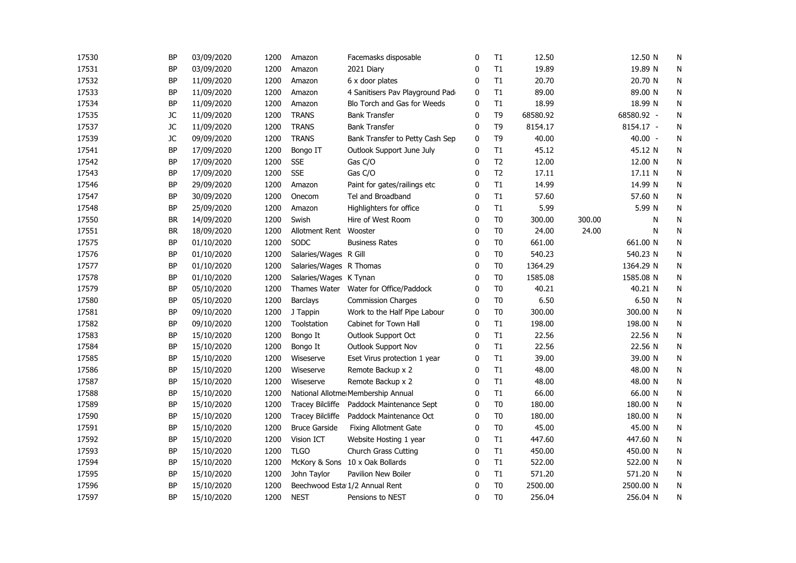| 17530 | <b>BP</b> | 03/09/2020 | 1200 | Amazon                  | Facemasks disposable               | 0            | T1             | 12.50    |        | 12.50 N    | N         |  |
|-------|-----------|------------|------|-------------------------|------------------------------------|--------------|----------------|----------|--------|------------|-----------|--|
| 17531 | <b>BP</b> | 03/09/2020 | 1200 | Amazon                  | 2021 Diary                         | 0            | T1             | 19.89    |        | 19.89 N    | N         |  |
| 17532 | <b>BP</b> | 11/09/2020 | 1200 | Amazon                  | 6 x door plates                    | $\mathbf{0}$ | T1             | 20.70    |        | 20.70 N    | ${\sf N}$ |  |
| 17533 | <b>BP</b> | 11/09/2020 | 1200 | Amazon                  | 4 Sanitisers Pav Playground Pad    | 0            | T1             | 89.00    |        | 89.00 N    | N         |  |
| 17534 | <b>BP</b> | 11/09/2020 | 1200 | Amazon                  | Blo Torch and Gas for Weeds        | 0            | T1             | 18.99    |        | 18.99 N    | N         |  |
| 17535 | JC        | 11/09/2020 | 1200 | <b>TRANS</b>            | <b>Bank Transfer</b>               | 0            | T <sub>9</sub> | 68580.92 |        | 68580.92 - | N         |  |
| 17537 | JC        | 11/09/2020 | 1200 | <b>TRANS</b>            | <b>Bank Transfer</b>               | 0            | T <sub>9</sub> | 8154.17  |        | 8154.17 -  | N         |  |
| 17539 | JC        | 09/09/2020 | 1200 | <b>TRANS</b>            | Bank Transfer to Petty Cash Sep    | 0            | T <sub>9</sub> | 40.00    |        | 40.00 -    | N         |  |
| 17541 | <b>BP</b> | 17/09/2020 | 1200 | Bongo IT                | Outlook Support June July          | 0            | T1             | 45.12    |        | 45.12 N    | N         |  |
| 17542 | <b>BP</b> | 17/09/2020 | 1200 | <b>SSE</b>              | Gas C/O                            | 0            | T <sub>2</sub> | 12.00    |        | 12.00 N    | N         |  |
| 17543 | <b>BP</b> | 17/09/2020 | 1200 | <b>SSE</b>              | Gas C/O                            | 0            | T <sub>2</sub> | 17.11    |        | 17.11 N    | N         |  |
| 17546 | BP        | 29/09/2020 | 1200 | Amazon                  | Paint for gates/railings etc       | 0            | T1             | 14.99    |        | 14.99 N    | N         |  |
| 17547 | <b>BP</b> | 30/09/2020 | 1200 | Onecom                  | Tel and Broadband                  | 0            | T1             | 57.60    |        | 57.60 N    | N         |  |
| 17548 | <b>BP</b> | 25/09/2020 | 1200 | Amazon                  | Highlighters for office            | 0            | T1             | 5.99     |        | 5.99 N     | N         |  |
| 17550 | <b>BR</b> | 14/09/2020 | 1200 | Swish                   | Hire of West Room                  | 0            | T <sub>0</sub> | 300.00   | 300.00 | N          | N         |  |
| 17551 | <b>BR</b> | 18/09/2020 | 1200 | Allotment Rent          | Wooster                            | 0            | T <sub>0</sub> | 24.00    | 24.00  | N          | N         |  |
| 17575 | <b>BP</b> | 01/10/2020 | 1200 | SODC                    | <b>Business Rates</b>              | 0            | T <sub>0</sub> | 661.00   |        | 661.00 N   | N         |  |
| 17576 | <b>BP</b> | 01/10/2020 | 1200 | Salaries/Wages R Gill   |                                    | $\mathbf{0}$ | T <sub>0</sub> | 540.23   |        | 540.23 N   | ${\sf N}$ |  |
| 17577 | <b>BP</b> | 01/10/2020 | 1200 | Salaries/Wages R Thomas |                                    | 0            | T <sub>0</sub> | 1364.29  |        | 1364.29 N  | N         |  |
| 17578 | <b>BP</b> | 01/10/2020 | 1200 | Salaries/Wages K Tynan  |                                    | 0            | T <sub>0</sub> | 1585.08  |        | 1585.08 N  | N         |  |
| 17579 | <b>BP</b> | 05/10/2020 | 1200 | Thames Water            | Water for Office/Paddock           | 0            | T <sub>0</sub> | 40.21    |        | 40.21 N    | N         |  |
| 17580 | <b>BP</b> | 05/10/2020 | 1200 | Barclays                | <b>Commission Charges</b>          | 0            | T <sub>0</sub> | 6.50     |        | 6.50 N     | N         |  |
| 17581 | <b>BP</b> | 09/10/2020 | 1200 | J Tappin                | Work to the Half Pipe Labour       | 0            | T <sub>0</sub> | 300.00   |        | 300.00 N   | N         |  |
| 17582 | <b>BP</b> | 09/10/2020 | 1200 | Toolstation             | Cabinet for Town Hall              | 0            | T1             | 198.00   |        | 198.00 N   | N         |  |
| 17583 | <b>BP</b> | 15/10/2020 | 1200 | Bongo It                | Outlook Support Oct                | 0            | T1             | 22.56    |        | 22.56 N    | N         |  |
| 17584 | BP        | 15/10/2020 | 1200 | Bongo It                | Outlook Support Nov                | 0            | T1             | 22.56    |        | 22.56 N    | N         |  |
| 17585 | <b>BP</b> | 15/10/2020 | 1200 | Wiseserve               | Eset Virus protection 1 year       | 0            | T1             | 39.00    |        | 39.00 N    | N         |  |
| 17586 | <b>BP</b> | 15/10/2020 | 1200 | Wiseserve               | Remote Backup x 2                  | 0            | T1             | 48.00    |        | 48.00 N    | ${\sf N}$ |  |
| 17587 | <b>BP</b> | 15/10/2020 | 1200 | Wiseserve               | Remote Backup x 2                  | $\mathbf{0}$ | T1             | 48.00    |        | 48.00 N    | N         |  |
| 17588 | <b>BP</b> | 15/10/2020 | 1200 |                         | National Allotme Membership Annual | 0            | T1             | 66.00    |        | 66.00 N    | N         |  |
| 17589 | <b>BP</b> | 15/10/2020 | 1200 | <b>Tracey Bilcliffe</b> | Paddock Maintenance Sept           | 0            | T <sub>0</sub> | 180.00   |        | 180.00 N   | N         |  |
| 17590 | <b>BP</b> | 15/10/2020 | 1200 | <b>Tracey Bilcliffe</b> | Paddock Maintenance Oct            | 0            | T <sub>0</sub> | 180.00   |        | 180.00 N   | N         |  |
| 17591 | <b>BP</b> | 15/10/2020 | 1200 | <b>Bruce Garside</b>    | <b>Fixing Allotment Gate</b>       | 0            | T <sub>0</sub> | 45.00    |        | 45.00 N    | N         |  |
| 17592 | <b>BP</b> | 15/10/2020 | 1200 | Vision ICT              | Website Hosting 1 year             | $\mathbf 0$  | T1             | 447.60   |        | 447.60 N   | N         |  |
| 17593 | <b>BP</b> | 15/10/2020 | 1200 | <b>TLGO</b>             | <b>Church Grass Cutting</b>        | 0            | T1             | 450.00   |        | 450.00 N   | N         |  |
| 17594 | BP        | 15/10/2020 | 1200 |                         | McKory & Sons 10 x Oak Bollards    | 0            | T1             | 522.00   |        | 522.00 N   | N         |  |
| 17595 | BP        | 15/10/2020 | 1200 | John Taylor             | Pavilion New Boiler                | 0            | T1             | 571.20   |        | 571.20 N   | N         |  |
| 17596 | <b>BP</b> | 15/10/2020 | 1200 |                         | Beechwood Esta 1/2 Annual Rent     | 0            | T <sub>0</sub> | 2500.00  |        | 2500.00 N  | N         |  |
| 17597 | <b>BP</b> | 15/10/2020 | 1200 | <b>NEST</b>             | Pensions to NEST                   | $\Omega$     | T <sub>0</sub> | 256.04   |        | 256.04 N   | N         |  |
|       |           |            |      |                         |                                    |              |                |          |        |            |           |  |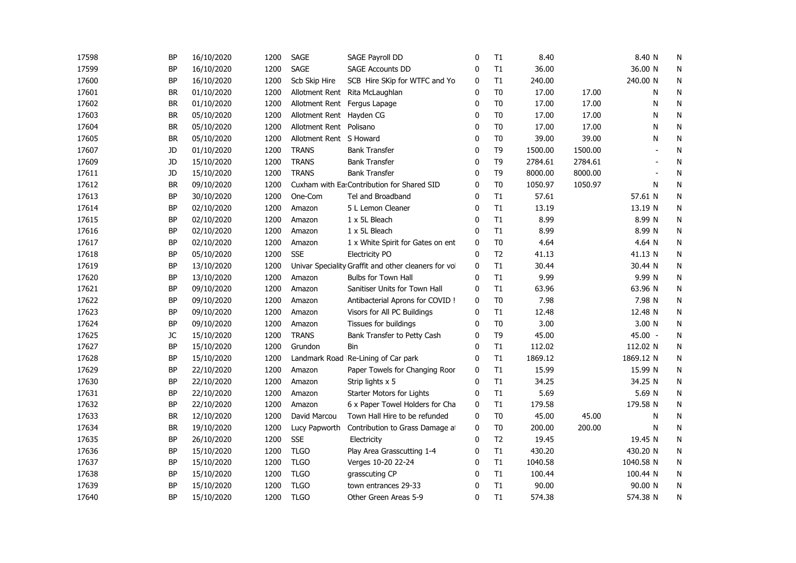| 17598 | <b>BP</b> | 16/10/2020 | 1200 | <b>SAGE</b>              | SAGE Payroll DD                                      | 0            | T1             | 8.40    |         | 8.40 N    | N            |
|-------|-----------|------------|------|--------------------------|------------------------------------------------------|--------------|----------------|---------|---------|-----------|--------------|
| 17599 | <b>BP</b> | 16/10/2020 | 1200 | <b>SAGE</b>              | <b>SAGE Accounts DD</b>                              | 0            | T1             | 36.00   |         | 36.00 N   | N            |
| 17600 | <b>BP</b> | 16/10/2020 | 1200 | Scb Skip Hire            | SCB Hire SKip for WTFC and Yo                        | $\mathbf{0}$ | T1             | 240.00  |         | 240.00 N  | ${\sf N}$    |
| 17601 | <b>BR</b> | 01/10/2020 | 1200 |                          | Allotment Rent Rita McLaughlan                       | $\mathbf{0}$ | T <sub>0</sub> | 17.00   | 17.00   | N         | N            |
| 17602 | <b>BR</b> | 01/10/2020 | 1200 |                          | Allotment Rent Fergus Lapage                         | $\mathbf{0}$ | T <sub>0</sub> | 17.00   | 17.00   | N         | N            |
| 17603 | <b>BR</b> | 05/10/2020 | 1200 | Allotment Rent Hayden CG |                                                      | 0            | T <sub>0</sub> | 17.00   | 17.00   | N         | N            |
| 17604 | <b>BR</b> | 05/10/2020 | 1200 | Allotment Rent Polisano  |                                                      | 0            | T <sub>0</sub> | 17.00   | 17.00   | N         | N            |
| 17605 | <b>BR</b> | 05/10/2020 | 1200 | Allotment Rent S Howard  |                                                      | 0            | T <sub>0</sub> | 39.00   | 39.00   | N         | N            |
| 17607 | JD        | 01/10/2020 | 1200 | <b>TRANS</b>             | <b>Bank Transfer</b>                                 | 0            | T <sub>9</sub> | 1500.00 | 1500.00 |           | $\mathsf{N}$ |
| 17609 | JD        | 15/10/2020 | 1200 | <b>TRANS</b>             | <b>Bank Transfer</b>                                 | 0            | T <sub>9</sub> | 2784.61 | 2784.61 |           | N            |
| 17611 | JD        | 15/10/2020 | 1200 | <b>TRANS</b>             | <b>Bank Transfer</b>                                 | 0            | T <sub>9</sub> | 8000.00 | 8000.00 |           | N            |
| 17612 | <b>BR</b> | 09/10/2020 | 1200 |                          | Cuxham with Ea: Contribution for Shared SID          | 0            | T <sub>0</sub> | 1050.97 | 1050.97 | N         | N            |
| 17613 | BP        | 30/10/2020 | 1200 | One-Com                  | Tel and Broadband                                    | 0            | T1             | 57.61   |         | 57.61 N   | N            |
| 17614 | <b>BP</b> | 02/10/2020 | 1200 | Amazon                   | 5 L Lemon Cleaner                                    | 0            | T1             | 13.19   |         | 13.19 N   | N            |
| 17615 | <b>BP</b> | 02/10/2020 | 1200 | Amazon                   | 1 x 5L Bleach                                        | $\mathbf{0}$ | T1             | 8.99    |         | 8.99 N    | N            |
| 17616 | <b>BP</b> | 02/10/2020 | 1200 | Amazon                   | 1 x 5L Bleach                                        | $\mathbf{0}$ | T1             | 8.99    |         | 8.99 N    | N            |
| 17617 | <b>BP</b> | 02/10/2020 | 1200 | Amazon                   | 1 x White Spirit for Gates on ent                    | $\mathbf 0$  | T <sub>0</sub> | 4.64    |         | 4.64 N    | N            |
| 17618 | <b>BP</b> | 05/10/2020 | 1200 | <b>SSE</b>               | <b>Electricity PO</b>                                | $\mathbf{0}$ | T <sub>2</sub> | 41.13   |         | 41.13 N   | N            |
| 17619 | <b>BP</b> | 13/10/2020 | 1200 |                          | Univar Speciality Graffit and other cleaners for vol | 0            | T1             | 30.44   |         | 30.44 N   | N            |
| 17620 | <b>BP</b> | 13/10/2020 | 1200 | Amazon                   | Bulbs for Town Hall                                  | $\mathbf{0}$ | T1             | 9.99    |         | 9.99 N    | ${\sf N}$    |
| 17621 | <b>BP</b> | 09/10/2020 | 1200 | Amazon                   | Sanitiser Units for Town Hall                        | 0            | T1             | 63.96   |         | 63.96 N   | N            |
| 17622 | <b>BP</b> | 09/10/2020 | 1200 | Amazon                   | Antibacterial Aprons for COVID !                     | 0            | T <sub>0</sub> | 7.98    |         | 7.98 N    | N            |
| 17623 | <b>BP</b> | 09/10/2020 | 1200 | Amazon                   | Visors for All PC Buildings                          | 0            | T1             | 12.48   |         | 12.48 N   | N            |
| 17624 | <b>BP</b> | 09/10/2020 | 1200 | Amazon                   | Tissues for buildings                                | 0            | T <sub>0</sub> | 3.00    |         | 3.00 N    | N            |
| 17625 | JC        | 15/10/2020 | 1200 | <b>TRANS</b>             | Bank Transfer to Petty Cash                          | 0            | T <sub>9</sub> | 45.00   |         | 45.00 -   | N            |
| 17627 | <b>BP</b> | 15/10/2020 | 1200 | Grundon                  | Bin                                                  | 0            | T1             | 112.02  |         | 112.02 N  | ${\sf N}$    |
| 17628 | <b>BP</b> | 15/10/2020 | 1200 |                          | Landmark Road Re-Lining of Car park                  | $\mathbf{0}$ | T1             | 1869.12 |         | 1869.12 N | N            |
| 17629 | <b>BP</b> | 22/10/2020 | 1200 | Amazon                   | Paper Towels for Changing Roor                       | 0            | T1             | 15.99   |         | 15.99 N   | N            |
| 17630 | <b>BP</b> | 22/10/2020 | 1200 | Amazon                   | Strip lights x 5                                     | 0            | T1             | 34.25   |         | 34.25 N   | N            |
| 17631 | <b>BP</b> | 22/10/2020 | 1200 | Amazon                   | Starter Motors for Lights                            | 0            | T1             | 5.69    |         | 5.69 N    | N            |
| 17632 | <b>BP</b> | 22/10/2020 | 1200 | Amazon                   | 6 x Paper Towel Holders for Cha                      | 0            | T1             | 179.58  |         | 179.58 N  | N            |
| 17633 | <b>BR</b> | 12/10/2020 | 1200 | David Marcou             | Town Hall Hire to be refunded                        | $\mathbf{0}$ | T <sub>0</sub> | 45.00   | 45.00   | N         | ${\sf N}$    |
| 17634 | <b>BR</b> | 19/10/2020 | 1200 | Lucy Papworth            | Contribution to Grass Damage at                      | $\mathbf 0$  | T <sub>0</sub> | 200.00  | 200.00  | N         | N            |
| 17635 | <b>BP</b> | 26/10/2020 | 1200 | <b>SSE</b>               | Electricity                                          | 0            | T <sub>2</sub> | 19.45   |         | 19.45 N   | N            |
| 17636 | <b>BP</b> | 15/10/2020 | 1200 | <b>TLGO</b>              | Play Area Grasscutting 1-4                           | 0            | T1             | 430.20  |         | 430.20 N  | N            |
| 17637 | <b>BP</b> | 15/10/2020 | 1200 | <b>TLGO</b>              | Verges 10-20 22-24                                   | 0            | T1             | 1040.58 |         | 1040.58 N | N            |
| 17638 | <b>BP</b> | 15/10/2020 | 1200 | <b>TLGO</b>              | grasscuting CP                                       | 0            | T1             | 100.44  |         | 100.44 N  | ${\sf N}$    |
| 17639 | <b>BP</b> | 15/10/2020 | 1200 | <b>TLGO</b>              | town entrances 29-33                                 | 0            | T1             | 90.00   |         | 90.00 N   | N            |
| 17640 | <b>BP</b> | 15/10/2020 | 1200 | <b>TLGO</b>              | Other Green Areas 5-9                                | $\mathbf{0}$ | T1             | 574.38  |         | 574.38 N  | N            |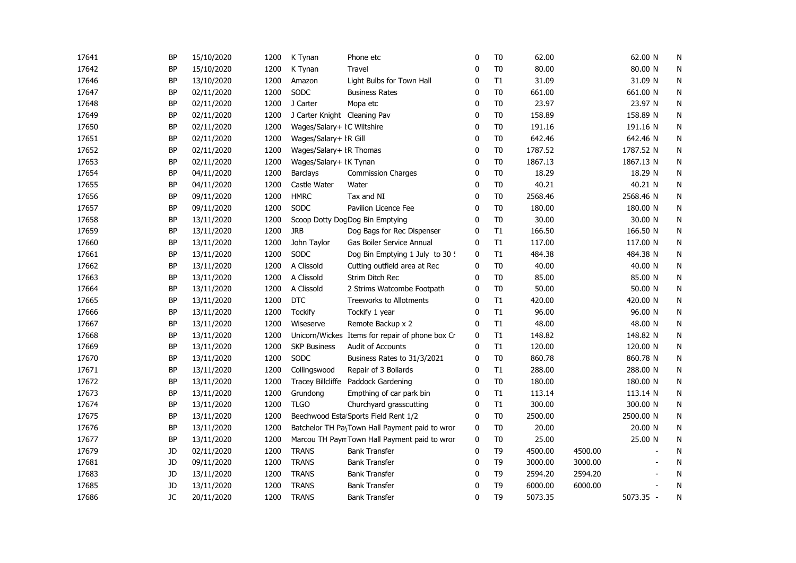| 17641 | <b>BP</b> | 15/10/2020 | 1200 | K Tynan                      | Phone etc                                       | 0            | T <sub>0</sub> | 62.00   |         | 62.00 N   | N         |
|-------|-----------|------------|------|------------------------------|-------------------------------------------------|--------------|----------------|---------|---------|-----------|-----------|
| 17642 | <b>BP</b> | 15/10/2020 | 1200 | K Tynan                      | Travel                                          | 0            | T <sub>0</sub> | 80.00   |         | 80.00 N   | N         |
| 17646 | BP        | 13/10/2020 | 1200 | Amazon                       | Light Bulbs for Town Hall                       | 0            | T1             | 31.09   |         | 31.09 N   | N         |
| 17647 | <b>BP</b> | 02/11/2020 | 1200 | SODC                         | <b>Business Rates</b>                           | 0            | T <sub>0</sub> | 661.00  |         | 661.00 N  | N         |
| 17648 | <b>BP</b> | 02/11/2020 | 1200 | J Carter                     | Mopa etc                                        | $\mathbf{0}$ | T <sub>0</sub> | 23.97   |         | 23.97 N   | ${\sf N}$ |
| 17649 | <b>BP</b> | 02/11/2020 | 1200 | J Carter Knight Cleaning Pav |                                                 | $\mathbf 0$  | T <sub>0</sub> | 158.89  |         | 158.89 N  | ${\sf N}$ |
| 17650 | <b>BP</b> | 02/11/2020 | 1200 | Wages/Salary+ IC Wiltshire   |                                                 | $\mathbf 0$  | T <sub>0</sub> | 191.16  |         | 191.16 N  | N         |
| 17651 | <b>BP</b> | 02/11/2020 | 1200 | Wages/Salary+ IR Gill        |                                                 | 0            | T <sub>0</sub> | 642.46  |         | 642.46 N  | N         |
| 17652 | <b>BP</b> | 02/11/2020 | 1200 | Wages/Salary+ IR Thomas      |                                                 | 0            | T <sub>0</sub> | 1787.52 |         | 1787.52 N | N         |
| 17653 | <b>BP</b> | 02/11/2020 | 1200 | Wages/Salary+ IK Tynan       |                                                 | 0            | T <sub>0</sub> | 1867.13 |         | 1867.13 N | N         |
| 17654 | <b>BP</b> | 04/11/2020 | 1200 | <b>Barclays</b>              | <b>Commission Charges</b>                       | 0            | T <sub>0</sub> | 18.29   |         | 18.29 N   | N         |
| 17655 | BP        | 04/11/2020 | 1200 | Castle Water                 | Water                                           | 0            | T <sub>0</sub> | 40.21   |         | 40.21 N   | N         |
| 17656 | <b>BP</b> | 09/11/2020 | 1200 | <b>HMRC</b>                  | Tax and NI                                      | 0            | T <sub>0</sub> | 2568.46 |         | 2568.46 N | N         |
| 17657 | <b>BP</b> | 09/11/2020 | 1200 | <b>SODC</b>                  | Pavilion Licence Fee                            | 0            | T <sub>0</sub> | 180.00  |         | 180.00 N  | N         |
| 17658 | <b>BP</b> | 13/11/2020 | 1200 |                              | Scoop Dotty Dog Dog Bin Emptying                | $\mathbf{0}$ | T <sub>0</sub> | 30.00   |         | 30.00 N   | N         |
| 17659 | <b>BP</b> | 13/11/2020 | 1200 | <b>JRB</b>                   | Dog Bags for Rec Dispenser                      | 0            | T1             | 166.50  |         | 166.50 N  | N         |
| 17660 | <b>BP</b> | 13/11/2020 | 1200 | John Taylor                  | Gas Boiler Service Annual                       | 0            | T1             | 117.00  |         | 117.00 N  | N         |
| 17661 | <b>BP</b> | 13/11/2020 | 1200 | SODC                         | Dog Bin Emptying 1 July to 30 9                 | 0            | T1             | 484.38  |         | 484.38 N  | N         |
| 17662 | ΒP        | 13/11/2020 | 1200 | A Clissold                   | Cutting outfield area at Rec                    | 0            | T <sub>0</sub> | 40.00   |         | 40.00 N   | N         |
| 17663 | BP        | 13/11/2020 | 1200 | A Clissold                   | Strim Ditch Rec                                 | 0            | T <sub>0</sub> | 85.00   |         | 85.00 N   | N         |
| 17664 | <b>BP</b> | 13/11/2020 | 1200 | A Clissold                   | 2 Strims Watcombe Footpath                      | 0            | T <sub>0</sub> | 50.00   |         | 50.00 N   | N         |
| 17665 | <b>BP</b> | 13/11/2020 | 1200 | <b>DTC</b>                   | <b>Treeworks to Allotments</b>                  | 0            | T1             | 420.00  |         | 420.00 N  | N         |
| 17666 | <b>BP</b> | 13/11/2020 | 1200 | <b>Tockify</b>               | Tockify 1 year                                  | 0            | T1             | 96.00   |         | 96.00 N   | N         |
| 17667 | <b>BP</b> | 13/11/2020 | 1200 | Wiseserve                    | Remote Backup x 2                               | 0            | T1             | 48.00   |         | 48.00 N   | N         |
| 17668 | <b>BP</b> | 13/11/2020 | 1200 |                              | Unicorn/Wickes Items for repair of phone box Cr | 0            | T1             | 148.82  |         | 148.82 N  | N         |
| 17669 | BP        | 13/11/2020 | 1200 | <b>SKP Business</b>          | Audit of Accounts                               | 0            | T1             | 120.00  |         | 120.00 N  | N         |
| 17670 | <b>BP</b> | 13/11/2020 | 1200 | SODC                         | Business Rates to 31/3/2021                     | 0            | T <sub>0</sub> | 860.78  |         | 860.78 N  | N         |
| 17671 | <b>BP</b> | 13/11/2020 | 1200 | Collingswood                 | Repair of 3 Bollards                            | 0            | T1             | 288.00  |         | 288.00 N  | N         |
| 17672 | <b>BP</b> | 13/11/2020 | 1200 |                              | Tracey Billcliffe Paddock Gardening             | $\mathbf{0}$ | T <sub>0</sub> | 180.00  |         | 180.00 N  | N         |
| 17673 | <b>BP</b> | 13/11/2020 | 1200 | Grundong                     | Empthing of car park bin                        | 0            | T1             | 113.14  |         | 113.14 N  | N         |
| 17674 | <b>BP</b> | 13/11/2020 | 1200 | <b>TLGO</b>                  | Churchyard grasscutting                         | 0            | T1             | 300.00  |         | 300.00 N  | N         |
| 17675 | <b>BP</b> | 13/11/2020 | 1200 |                              | Beechwood Esta Sports Field Rent 1/2            | 0            | T <sub>0</sub> | 2500.00 |         | 2500.00 N | N         |
| 17676 | <b>BP</b> | 13/11/2020 | 1200 |                              | Batchelor TH PayTown Hall Payment paid to wror  | 0            | T <sub>0</sub> | 20.00   |         | 20.00 N   | N         |
| 17677 | <b>BP</b> | 13/11/2020 | 1200 |                              | Marcou TH Payn Town Hall Payment paid to wror   | 0            | T <sub>0</sub> | 25.00   |         | 25.00 N   | N         |
| 17679 | JD        | 02/11/2020 | 1200 | <b>TRANS</b>                 | <b>Bank Transfer</b>                            | 0            | T <sub>9</sub> | 4500.00 | 4500.00 |           | N         |
| 17681 | JD        | 09/11/2020 | 1200 | <b>TRANS</b>                 | <b>Bank Transfer</b>                            | 0            | T <sub>9</sub> | 3000.00 | 3000.00 |           | N         |
| 17683 | <b>JD</b> | 13/11/2020 | 1200 | <b>TRANS</b>                 | <b>Bank Transfer</b>                            | 0            | T <sub>9</sub> | 2594.20 | 2594.20 |           | N         |
| 17685 | <b>JD</b> | 13/11/2020 | 1200 | <b>TRANS</b>                 | <b>Bank Transfer</b>                            | $\mathbf 0$  | T <sub>9</sub> | 6000.00 | 6000.00 |           | N         |
| 17686 | JC        | 20/11/2020 | 1200 | <b>TRANS</b>                 | <b>Bank Transfer</b>                            | $\Omega$     | T <sub>9</sub> | 5073.35 |         | 5073.35 - | N         |
|       |           |            |      |                              |                                                 |              |                |         |         |           |           |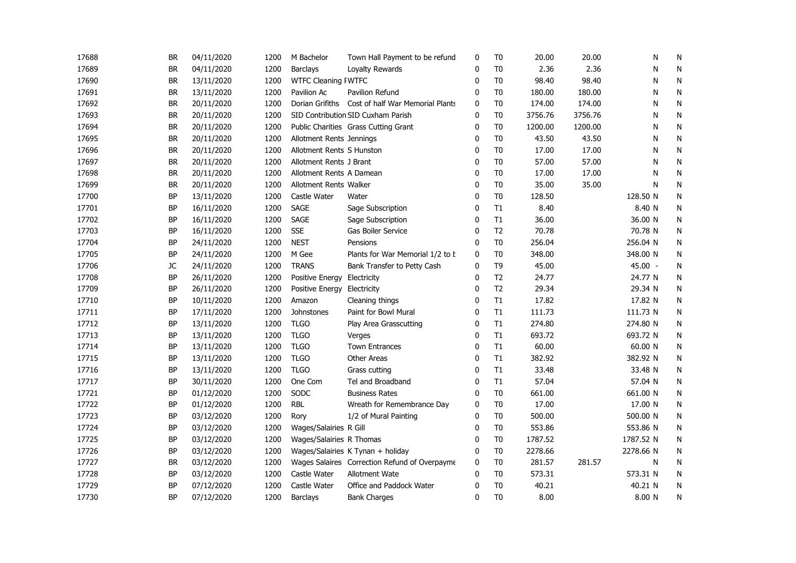| 17688 | BR        | 04/11/2020 | 1200 | M Bachelor                 | Town Hall Payment to be refund                   | 0            | T <sub>0</sub> | 20.00   | 20.00   | N         | N            |
|-------|-----------|------------|------|----------------------------|--------------------------------------------------|--------------|----------------|---------|---------|-----------|--------------|
| 17689 | BR        | 04/11/2020 | 1200 | <b>Barclays</b>            | Loyalty Rewards                                  | 0            | T <sub>0</sub> | 2.36    | 2.36    | N         | N            |
| 17690 | <b>BR</b> | 13/11/2020 | 1200 | <b>WTFC Cleaning FWTFC</b> |                                                  | $\Omega$     | T <sub>0</sub> | 98.40   | 98.40   | N         | ${\sf N}$    |
| 17691 | <b>BR</b> | 13/11/2020 | 1200 | Pavilion Ac                | Pavilion Refund                                  | $\Omega$     | T <sub>0</sub> | 180.00  | 180.00  | N         | N            |
| 17692 | <b>BR</b> | 20/11/2020 | 1200 |                            | Dorian Grifiths Cost of half War Memorial Plants | $\mathbf{0}$ | T <sub>0</sub> | 174.00  | 174.00  | N         | N            |
| 17693 | <b>BR</b> | 20/11/2020 | 1200 |                            | SID Contribution SID Cuxham Parish               | $\mathbf 0$  | T <sub>0</sub> | 3756.76 | 3756.76 | N         | N            |
| 17694 | <b>BR</b> | 20/11/2020 | 1200 |                            | Public Charities Grass Cutting Grant             | 0            | T <sub>0</sub> | 1200.00 | 1200.00 | N         | N            |
| 17695 | BR        | 20/11/2020 | 1200 | Allotment Rents Jennings   |                                                  | 0            | T0             | 43.50   | 43.50   | N         | N            |
| 17696 | <b>BR</b> | 20/11/2020 | 1200 | Allotment Rents S Hunston  |                                                  | 0            | T <sub>0</sub> | 17.00   | 17.00   | N         | ${\sf N}$    |
| 17697 | <b>BR</b> | 20/11/2020 | 1200 | Allotment Rents J Brant    |                                                  | 0            | T <sub>0</sub> | 57.00   | 57.00   | N         | N            |
| 17698 | <b>BR</b> | 20/11/2020 | 1200 | Allotment Rents A Damean   |                                                  | 0            | T <sub>0</sub> | 17.00   | 17.00   | N         | N            |
| 17699 | <b>BR</b> | 20/11/2020 | 1200 | Allotment Rents Walker     |                                                  | 0            | T <sub>0</sub> | 35.00   | 35.00   | N         | N            |
| 17700 | BP        | 13/11/2020 | 1200 | Castle Water               | Water                                            | 0            | T <sub>0</sub> | 128.50  |         | 128.50 N  | N            |
| 17701 | <b>BP</b> | 16/11/2020 | 1200 | <b>SAGE</b>                | Sage Subscription                                | 0            | T1             | 8.40    |         | 8.40 N    | N            |
| 17702 | <b>BP</b> | 16/11/2020 | 1200 | SAGE                       | Sage Subscription                                | $\Omega$     | T1             | 36.00   |         | 36.00 N   | N            |
| 17703 | <b>BP</b> | 16/11/2020 | 1200 | <b>SSE</b>                 | Gas Boiler Service                               | $\Omega$     | T <sub>2</sub> | 70.78   |         | 70.78 N   | $\mathsf{N}$ |
| 17704 | BP        | 24/11/2020 | 1200 | <b>NEST</b>                | Pensions                                         | $\mathbf{0}$ | T <sub>0</sub> | 256.04  |         | 256.04 N  | N            |
| 17705 | BP        | 24/11/2020 | 1200 | M Gee                      | Plants for War Memorial 1/2 to b                 | 0            | T0             | 348.00  |         | 348.00 N  | N            |
| 17706 | JC        | 24/11/2020 | 1200 | <b>TRANS</b>               | Bank Transfer to Petty Cash                      | 0            | T <sub>9</sub> | 45.00   |         | 45.00 -   | N            |
| 17708 | <b>BP</b> | 26/11/2020 | 1200 | Positive Energy            | Electricity                                      | 0            | T <sub>2</sub> | 24.77   |         | 24.77 N   | N            |
| 17709 | <b>BP</b> | 26/11/2020 | 1200 | Positive Energy            | Electricity                                      | $\Omega$     | T <sub>2</sub> | 29.34   |         | 29.34 N   | N            |
| 17710 | <b>BP</b> | 10/11/2020 | 1200 | Amazon                     | Cleaning things                                  | $\mathbf{0}$ | T1             | 17.82   |         | 17.82 N   | N            |
| 17711 | BP        | 17/11/2020 | 1200 | Johnstones                 | Paint for Bowl Mural                             | 0            | T1             | 111.73  |         | 111.73 N  | N            |
| 17712 | BP        | 13/11/2020 | 1200 | <b>TLGO</b>                | Play Area Grasscutting                           | 0            | T1             | 274.80  |         | 274.80 N  | N            |
| 17713 | BP        | 13/11/2020 | 1200 | <b>TLGO</b>                | Verges                                           | 0            | T1             | 693.72  |         | 693.72 N  | N            |
| 17714 | <b>BP</b> | 13/11/2020 | 1200 | <b>TLGO</b>                | <b>Town Entrances</b>                            | 0            | T1             | 60.00   |         | 60.00 N   | N            |
| 17715 | BP        | 13/11/2020 | 1200 | <b>TLGO</b>                | <b>Other Areas</b>                               | $\Omega$     | T1             | 382.92  |         | 382.92 N  | N            |
| 17716 | BP        | 13/11/2020 | 1200 | <b>TLGO</b>                | Grass cutting                                    | $\mathbf{0}$ | T1             | 33.48   |         | 33.48 N   | N            |
| 17717 | BP        | 30/11/2020 | 1200 | One Com                    | Tel and Broadband                                | $\mathbf{0}$ | T1             | 57.04   |         | 57.04 N   | N            |
| 17721 | BP        | 01/12/2020 | 1200 | SODC                       | <b>Business Rates</b>                            | 0            | T <sub>0</sub> | 661.00  |         | 661.00 N  | N            |
| 17722 | <b>BP</b> | 01/12/2020 | 1200 | <b>RBL</b>                 | Wreath for Remembrance Day                       | 0            | T <sub>0</sub> | 17.00   |         | 17.00 N   | N            |
| 17723 | <b>BP</b> | 03/12/2020 | 1200 | Rory                       | 1/2 of Mural Painting                            | $\Omega$     | T <sub>0</sub> | 500.00  |         | 500.00 N  | N            |
| 17724 | <b>BP</b> | 03/12/2020 | 1200 | Wages/Salairies R Gill     |                                                  | $\mathbf{0}$ | T <sub>0</sub> | 553.86  |         | 553.86 N  | N            |
| 17725 | BP        | 03/12/2020 | 1200 | Wages/Salairies R Thomas   |                                                  | 0            | T <sub>0</sub> | 1787.52 |         | 1787.52 N | N            |
| 17726 | BP        | 03/12/2020 | 1200 |                            | Wages/Salairies K Tynan + holiday                | 0            | T <sub>0</sub> | 2278.66 |         | 2278.66 N | N            |
| 17727 | BR        | 03/12/2020 | 1200 |                            | Wages Salaires Correction Refund of Overpayme    | 0            | T <sub>0</sub> | 281.57  | 281.57  | N         | N            |
| 17728 | BP        | 03/12/2020 | 1200 | Castle Water               | Allotment Wate                                   | 0            | T <sub>0</sub> | 573.31  |         | 573.31 N  | ${\sf N}$    |
| 17729 | <b>BP</b> | 07/12/2020 | 1200 | Castle Water               | Office and Paddock Water                         | 0            | T <sub>0</sub> | 40.21   |         | 40.21 N   | N            |
| 17730 | <b>BP</b> | 07/12/2020 | 1200 | <b>Barclays</b>            | <b>Bank Charges</b>                              | 0            | T <sub>0</sub> | 8.00    |         | 8.00 N    | N            |
|       |           |            |      |                            |                                                  |              |                |         |         |           |              |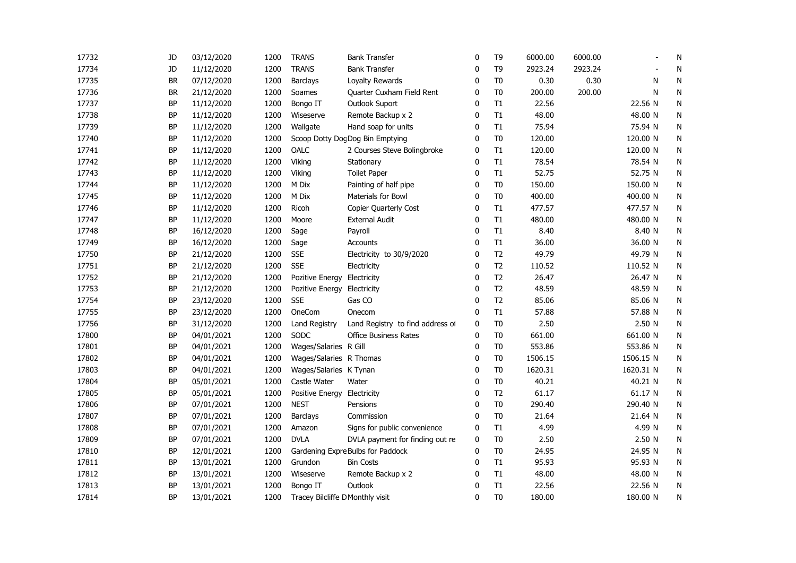| 17732 | JD        | 03/12/2020 | 1200 | <b>TRANS</b>                     | <b>Bank Transfer</b>              | 0            | T <sub>9</sub> | 6000.00 | 6000.00 |           | N         |
|-------|-----------|------------|------|----------------------------------|-----------------------------------|--------------|----------------|---------|---------|-----------|-----------|
| 17734 | JD        | 11/12/2020 | 1200 | <b>TRANS</b>                     | <b>Bank Transfer</b>              | 0            | T <sub>9</sub> | 2923.24 | 2923.24 |           | N         |
| 17735 | <b>BR</b> | 07/12/2020 | 1200 | Barclays                         | Loyalty Rewards                   | 0            | T <sub>0</sub> | 0.30    | 0.30    | N         | N         |
| 17736 | <b>BR</b> | 21/12/2020 | 1200 | Soames                           | Quarter Cuxham Field Rent         | $\mathbf{0}$ | T <sub>0</sub> | 200.00  | 200.00  | N         | ${\sf N}$ |
| 17737 | <b>BP</b> | 11/12/2020 | 1200 | Bongo IT                         | Outlook Suport                    | $\mathbf{0}$ | T1             | 22.56   |         | 22.56 N   | ${\sf N}$ |
| 17738 | <b>BP</b> | 11/12/2020 | 1200 | Wiseserve                        | Remote Backup x 2                 | $\mathbf{0}$ | T1             | 48.00   |         | 48.00 N   | ${\sf N}$ |
| 17739 | <b>BP</b> | 11/12/2020 | 1200 | Wallgate                         | Hand soap for units               | $\mathbf 0$  | T1             | 75.94   |         | 75.94 N   | ${\sf N}$ |
| 17740 | <b>BP</b> | 11/12/2020 | 1200 |                                  | Scoop Dotty Dog Dog Bin Emptying  | 0            | T <sub>0</sub> | 120.00  |         | 120.00 N  | N         |
| 17741 | <b>BP</b> | 11/12/2020 | 1200 | OALC                             | 2 Courses Steve Bolingbroke       | 0            | T1             | 120.00  |         | 120.00 N  | N         |
| 17742 | <b>BP</b> | 11/12/2020 | 1200 | Viking                           | Stationary                        | 0            | T1             | 78.54   |         | 78.54 N   | N         |
| 17743 | ΒP        | 11/12/2020 | 1200 | Viking                           | <b>Toilet Paper</b>               | 0            | T1             | 52.75   |         | 52.75 N   | N         |
| 17744 | BP        | 11/12/2020 | 1200 | M Dix                            | Painting of half pipe             | 0            | T <sub>0</sub> | 150.00  |         | 150.00 N  | ${\sf N}$ |
| 17745 | <b>BP</b> | 11/12/2020 | 1200 | M Dix                            | Materials for Bowl                | $\mathbf 0$  | T <sub>0</sub> | 400.00  |         | 400.00 N  | ${\sf N}$ |
| 17746 | <b>BP</b> | 11/12/2020 | 1200 | Ricoh                            | Copier Quarterly Cost             | $\mathbf 0$  | T1             | 477.57  |         | 477.57 N  | ${\sf N}$ |
| 17747 | <b>BP</b> | 11/12/2020 | 1200 | Moore                            | <b>External Audit</b>             | $\mathbf{0}$ | T1             | 480.00  |         | 480.00 N  | N         |
| 17748 | <b>BP</b> | 16/12/2020 | 1200 | Sage                             | Payroll                           | $\mathbf{0}$ | T1             | 8.40    |         | 8.40 N    | N         |
| 17749 | <b>BP</b> | 16/12/2020 | 1200 | Sage                             | Accounts                          | $\mathbf 0$  | T1             | 36.00   |         | 36.00 N   | N         |
| 17750 | BP        | 21/12/2020 | 1200 | <b>SSE</b>                       | Electricity to 30/9/2020          | $\mathbf 0$  | T <sub>2</sub> | 49.79   |         | 49.79 N   | N         |
| 17751 | ΒP        | 21/12/2020 | 1200 | <b>SSE</b>                       | Electricity                       | 0            | T <sub>2</sub> | 110.52  |         | 110.52 N  | N         |
| 17752 | <b>BP</b> | 21/12/2020 | 1200 | Pozitive Energy                  | Electricity                       | $\mathbf{0}$ | T <sub>2</sub> | 26.47   |         | 26.47 N   | ${\sf N}$ |
| 17753 | <b>BP</b> | 21/12/2020 | 1200 | Pozitive Energy                  | Electricity                       | $\mathbf{0}$ | T <sub>2</sub> | 48.59   |         | 48.59 N   | N         |
| 17754 | BP        | 23/12/2020 | 1200 | <b>SSE</b>                       | Gas CO                            | $\mathbf{0}$ | T <sub>2</sub> | 85.06   |         | 85.06 N   | N         |
| 17755 | <b>BP</b> | 23/12/2020 | 1200 | OneCom                           | Onecom                            | 0            | T1             | 57.88   |         | 57.88 N   | ${\sf N}$ |
| 17756 | BP        | 31/12/2020 | 1200 | <b>Land Registry</b>             | Land Registry to find address of  | 0            | T <sub>0</sub> | 2.50    |         | 2.50 N    | N         |
| 17800 | BP        | 04/01/2021 | 1200 | SODC                             | <b>Office Business Rates</b>      | 0            | T <sub>0</sub> | 661.00  |         | 661.00 N  | N         |
| 17801 | <b>BP</b> | 04/01/2021 | 1200 | Wages/Salaries R Gill            |                                   | 0            | T <sub>0</sub> | 553.86  |         | 553.86 N  | N         |
| 17802 | <b>BP</b> | 04/01/2021 | 1200 | Wages/Salaries R Thomas          |                                   | 0            | T <sub>0</sub> | 1506.15 |         | 1506.15 N | N         |
| 17803 | <b>BP</b> | 04/01/2021 | 1200 | Wages/Salaries K Tynan           |                                   | $\mathbf{0}$ | T <sub>0</sub> | 1620.31 |         | 1620.31 N | N         |
| 17804 | <b>BP</b> | 05/01/2021 | 1200 | Castle Water                     | Water                             | $\mathbf{0}$ | T <sub>0</sub> | 40.21   |         | 40.21 N   | ${\sf N}$ |
| 17805 | <b>BP</b> | 05/01/2021 | 1200 | Positive Energy                  | Electricity                       | $\mathbf{0}$ | T <sub>2</sub> | 61.17   |         | 61.17 N   | N         |
| 17806 | <b>BP</b> | 07/01/2021 | 1200 | <b>NEST</b>                      | Pensions                          | $\mathbf 0$  | T <sub>0</sub> | 290.40  |         | 290.40 N  | N         |
| 17807 | <b>BP</b> | 07/01/2021 | 1200 | Barclays                         | Commission                        | $\mathbf{0}$ | T <sub>0</sub> | 21.64   |         | 21.64 N   | N         |
| 17808 | <b>BP</b> | 07/01/2021 | 1200 | Amazon                           | Signs for public convenience      | $\mathbf 0$  | T1             | 4.99    |         | 4.99 N    | N         |
| 17809 | BP        | 07/01/2021 | 1200 | <b>DVLA</b>                      | DVLA payment for finding out re   | 0            | T <sub>0</sub> | 2.50    |         | 2.50 N    | N         |
| 17810 | ΒP        | 12/01/2021 | 1200 |                                  | Gardening Expre Bulbs for Paddock | 0            | T <sub>0</sub> | 24.95   |         | 24.95 N   | ${\sf N}$ |
| 17811 | <b>BP</b> | 13/01/2021 | 1200 | Grundon                          | Bin Costs                         | $\mathbf 0$  | T1             | 95.93   |         | 95.93 N   | ${\sf N}$ |
| 17812 | <b>BP</b> | 13/01/2021 | 1200 | Wiseserve                        | Remote Backup x 2                 | $\mathbf 0$  | T1             | 48.00   |         | 48.00 N   | N         |
| 17813 | BP        | 13/01/2021 | 1200 | Bongo IT                         | Outlook                           | 0            | T1             | 22.56   |         | 22.56 N   | N         |
| 17814 | <b>BP</b> | 13/01/2021 | 1200 | Tracey Bilcliffe D Monthly visit |                                   | $\mathbf{0}$ | T <sub>0</sub> | 180.00  |         | 180.00 N  | N         |
|       |           |            |      |                                  |                                   |              |                |         |         |           |           |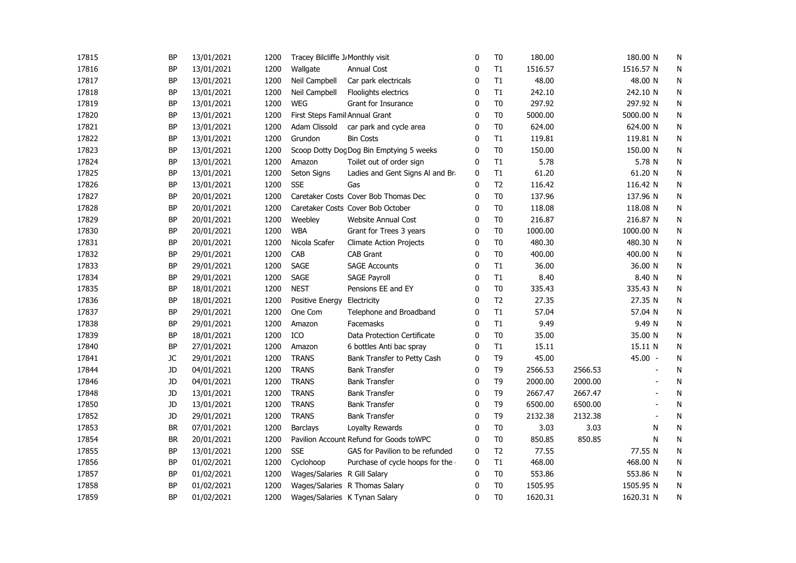| 17815 | <b>BP</b> | 13/01/2021 | 1200 | Tracey Bilcliffe J Monthly visit |                                          | 0            | T <sub>0</sub> | 180.00  |         | 180.00 N       | N         |
|-------|-----------|------------|------|----------------------------------|------------------------------------------|--------------|----------------|---------|---------|----------------|-----------|
| 17816 | <b>BP</b> | 13/01/2021 | 1200 | Wallgate                         | <b>Annual Cost</b>                       | 0            | T1             | 1516.57 |         | 1516.57 N      | N         |
| 17817 | <b>BP</b> | 13/01/2021 | 1200 | Neil Campbell                    | Car park electricals                     | 0            | T1             | 48.00   |         | 48.00 N        | N         |
| 17818 | <b>BP</b> | 13/01/2021 | 1200 | Neil Campbell                    | Floolights electrics                     | $\mathbf{0}$ | T1             | 242.10  |         | 242.10 N       | ${\sf N}$ |
| 17819 | <b>BP</b> | 13/01/2021 | 1200 | <b>WEG</b>                       | Grant for Insurance                      | $\mathbf{0}$ | T <sub>0</sub> | 297.92  |         | 297.92 N       | N         |
| 17820 | <b>BP</b> | 13/01/2021 | 1200 | First Steps Famil Annual Grant   |                                          | 0            | T <sub>0</sub> | 5000.00 |         | 5000.00 N      | N         |
| 17821 | <b>BP</b> | 13/01/2021 | 1200 | Adam Clissold                    | car park and cycle area                  | 0            | T <sub>0</sub> | 624.00  |         | 624.00 N       | N         |
| 17822 | <b>BP</b> | 13/01/2021 | 1200 | Grundon                          | <b>Bin Costs</b>                         | 0            | T1             | 119.81  |         | 119.81 N       | N         |
| 17823 | <b>BP</b> | 13/01/2021 | 1200 |                                  | Scoop Dotty Dog Dog Bin Emptying 5 weeks | 0            | T <sub>0</sub> | 150.00  |         | 150.00 N       | ${\sf N}$ |
| 17824 | <b>BP</b> | 13/01/2021 | 1200 | Amazon                           | Toilet out of order sign                 | 0            | T1             | 5.78    |         | 5.78 N         | N         |
| 17825 | <b>BP</b> | 13/01/2021 | 1200 | Seton Signs                      | Ladies and Gent Signs Al and Bra         | 0            | T1             | 61.20   |         | 61.20 N        | N         |
| 17826 | <b>BP</b> | 13/01/2021 | 1200 | <b>SSE</b>                       | Gas                                      | 0            | T <sub>2</sub> | 116.42  |         | 116.42 N       | ${\sf N}$ |
| 17827 | <b>BP</b> | 20/01/2021 | 1200 |                                  | Caretaker Costs Cover Bob Thomas Dec     | 0            | T <sub>0</sub> | 137.96  |         | 137.96 N       | ${\sf N}$ |
| 17828 | <b>BP</b> | 20/01/2021 | 1200 |                                  | Caretaker Costs Cover Bob October        | 0            | T <sub>0</sub> | 118.08  |         | 118.08 N       | N         |
| 17829 | <b>BP</b> | 20/01/2021 | 1200 | Weebley                          | <b>Website Annual Cost</b>               | 0            | T <sub>0</sub> | 216.87  |         | 216.87 N       | N         |
| 17830 | <b>BP</b> | 20/01/2021 | 1200 | <b>WBA</b>                       | Grant for Trees 3 years                  | 0            | T <sub>0</sub> | 1000.00 |         | 1000.00 N      | N         |
| 17831 | <b>BP</b> | 20/01/2021 | 1200 | Nicola Scafer                    | <b>Climate Action Projects</b>           | 0            | T <sub>0</sub> | 480.30  |         | 480.30 N       | N         |
| 17832 | BP        | 29/01/2021 | 1200 | CAB                              | <b>CAB Grant</b>                         | $\mathbf 0$  | T <sub>0</sub> | 400.00  |         | 400.00 N       | N         |
| 17833 | <b>BP</b> | 29/01/2021 | 1200 | <b>SAGE</b>                      | <b>SAGE Accounts</b>                     | 0            | T1             | 36.00   |         | 36.00 N        | N         |
| 17834 | <b>BP</b> | 29/01/2021 | 1200 | SAGE                             | <b>SAGE Payroll</b>                      | $\mathbf{0}$ | T1             | 8.40    |         | 8.40 N         | ${\sf N}$ |
| 17835 | <b>BP</b> | 18/01/2021 | 1200 | <b>NEST</b>                      | Pensions EE and EY                       | $\mathbf 0$  | T <sub>0</sub> | 335.43  |         | 335.43 N       | N         |
| 17836 | <b>BP</b> | 18/01/2021 | 1200 | Positive Energy                  | Electricity                              | 0            | T <sub>2</sub> | 27.35   |         | 27.35 N        | N         |
| 17837 | <b>BP</b> | 29/01/2021 | 1200 | One Com                          | Telephone and Broadband                  | 0            | T1             | 57.04   |         | 57.04 N        | ${\sf N}$ |
| 17838 | <b>BP</b> | 29/01/2021 | 1200 | Amazon                           | Facemasks                                | 0            | T1             | 9.49    |         | 9.49 N         | N         |
| 17839 | <b>BP</b> | 18/01/2021 | 1200 | ICO                              | Data Protection Certificate              | 0            | T <sub>0</sub> | 35.00   |         | 35.00 N        | N         |
| 17840 | <b>BP</b> | 27/01/2021 | 1200 | Amazon                           | 6 bottles Anti bac spray                 | 0            | T1             | 15.11   |         | 15.11 N        | N         |
| 17841 | JC        | 29/01/2021 | 1200 | <b>TRANS</b>                     | Bank Transfer to Petty Cash              | 0            | T <sub>9</sub> | 45.00   |         | 45.00 -        | N         |
| 17844 | JD        | 04/01/2021 | 1200 | <b>TRANS</b>                     | <b>Bank Transfer</b>                     | $\mathbf{0}$ | T <sub>9</sub> | 2566.53 | 2566.53 |                | N         |
| 17846 | JD        | 04/01/2021 | 1200 | <b>TRANS</b>                     | <b>Bank Transfer</b>                     | $\mathbf{0}$ | T <sub>9</sub> | 2000.00 | 2000.00 |                | N         |
| 17848 | JD        | 13/01/2021 | 1200 | <b>TRANS</b>                     | <b>Bank Transfer</b>                     | 0            | T <sub>9</sub> | 2667.47 | 2667.47 |                | N         |
| 17850 | JD        | 13/01/2021 | 1200 | <b>TRANS</b>                     | <b>Bank Transfer</b>                     | 0            | T <sub>9</sub> | 6500.00 | 6500.00 |                | N         |
| 17852 | JD        | 29/01/2021 | 1200 | <b>TRANS</b>                     | <b>Bank Transfer</b>                     | 0            | T <sub>9</sub> | 2132.38 | 2132.38 | $\blacksquare$ | N         |
| 17853 | <b>BR</b> | 07/01/2021 | 1200 | <b>Barclays</b>                  | Loyalty Rewards                          | 0            | T <sub>0</sub> | 3.03    | 3.03    | N              | N         |
| 17854 | <b>BR</b> | 20/01/2021 | 1200 |                                  | Pavilion Account Refund for Goods toWPC  | 0            | T <sub>0</sub> | 850.85  | 850.85  | N              | N         |
| 17855 | <b>BP</b> | 13/01/2021 | 1200 | <b>SSE</b>                       | GAS for Pavilion to be refunded          | 0            | T <sub>2</sub> | 77.55   |         | 77.55 N        | ${\sf N}$ |
| 17856 | <b>BP</b> | 01/02/2021 | 1200 | Cyclohoop                        | Purchase of cycle hoops for the          | $\mathbf 0$  | T1             | 468.00  |         | 468.00 N       | ${\sf N}$ |
| 17857 | BP        | 01/02/2021 | 1200 | Wages/Salaries R Gill Salary     |                                          | 0            | T <sub>0</sub> | 553.86  |         | 553.86 N       | N         |
| 17858 | <b>BP</b> | 01/02/2021 | 1200 |                                  | Wages/Salaries R Thomas Salary           | 0            | T <sub>0</sub> | 1505.95 |         | 1505.95 N      | N         |
| 17859 | <b>BP</b> | 01/02/2021 | 1200 | Wages/Salaries K Tynan Salary    |                                          | $\mathbf{0}$ | T <sub>0</sub> | 1620.31 |         | 1620.31 N      | N         |
|       |           |            |      |                                  |                                          |              |                |         |         |                |           |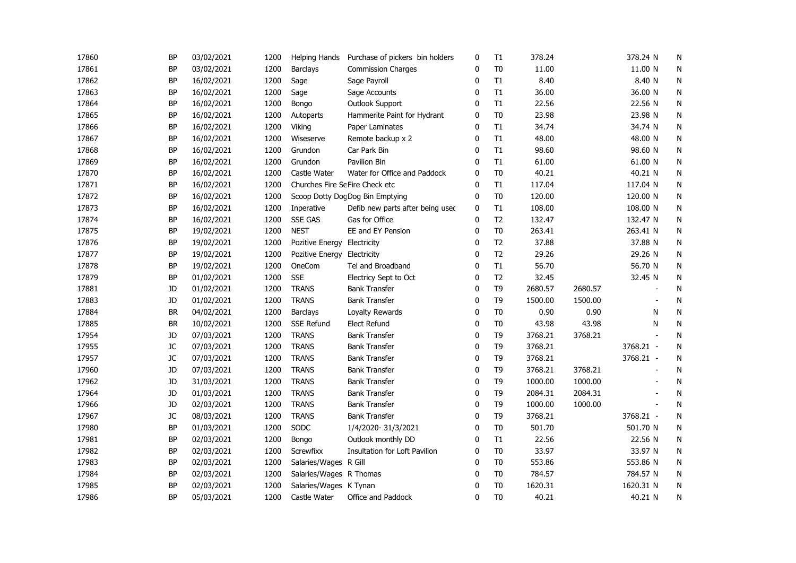| 17860 | <b>BP</b> | 03/02/2021 | 1200 | Helping Hands                   | Purchase of pickers bin holders  | 0            | T1             | 378.24  |         | 378.24 N                 | N         |
|-------|-----------|------------|------|---------------------------------|----------------------------------|--------------|----------------|---------|---------|--------------------------|-----------|
| 17861 | <b>BP</b> | 03/02/2021 | 1200 | <b>Barclays</b>                 | <b>Commission Charges</b>        | 0            | T <sub>0</sub> | 11.00   |         | 11.00 N                  | N         |
| 17862 | <b>BP</b> | 16/02/2021 | 1200 | Sage                            | Sage Payroll                     | $\mathbf{0}$ | T1             | 8.40    |         | 8.40 N                   | ${\sf N}$ |
| 17863 | <b>BP</b> | 16/02/2021 | 1200 | Sage                            | Sage Accounts                    | $\mathbf{0}$ | T1             | 36.00   |         | 36.00 N                  | N         |
| 17864 | <b>BP</b> | 16/02/2021 | 1200 | Bongo                           | Outlook Support                  | $\mathbf 0$  | T1             | 22.56   |         | 22.56 N                  | N         |
| 17865 | <b>BP</b> | 16/02/2021 | 1200 | <b>Autoparts</b>                | Hammerite Paint for Hydrant      | 0            | T <sub>0</sub> | 23.98   |         | 23.98 N                  | N         |
| 17866 | <b>BP</b> | 16/02/2021 | 1200 | Viking                          | Paper Laminates                  | 0            | T1             | 34.74   |         | 34.74 N                  | N         |
| 17867 | <b>BP</b> | 16/02/2021 | 1200 | Wiseserve                       | Remote backup x 2                | 0            | T1             | 48.00   |         | 48.00 N                  | ${\sf N}$ |
| 17868 | <b>BP</b> | 16/02/2021 | 1200 | Grundon                         | Car Park Bin                     | 0            | T1             | 98.60   |         | 98.60 N                  | N         |
| 17869 | <b>BP</b> | 16/02/2021 | 1200 | Grundon                         | Pavilion Bin                     | 0            | T1             | 61.00   |         | 61.00 N                  | N         |
| 17870 | <b>BP</b> | 16/02/2021 | 1200 | Castle Water                    | Water for Office and Paddock     | 0            | T <sub>0</sub> | 40.21   |         | 40.21 N                  | N         |
| 17871 | <b>BP</b> | 16/02/2021 | 1200 | Churches Fire Se Fire Check etc |                                  | 0            | T1             | 117.04  |         | 117.04 N                 | N         |
| 17872 | <b>BP</b> | 16/02/2021 | 1200 |                                 | Scoop Dotty Dog Dog Bin Emptying | 0            | T <sub>0</sub> | 120.00  |         | 120.00 N                 | ${\sf N}$ |
| 17873 | <b>BP</b> | 16/02/2021 | 1200 | Inperative                      | Defib new parts after being used | 0            | T1             | 108.00  |         | 108.00 N                 | N         |
| 17874 | <b>BP</b> | 16/02/2021 | 1200 | <b>SSE GAS</b>                  | Gas for Office                   | $\mathbf{0}$ | T <sub>2</sub> | 132.47  |         | 132.47 N                 | N         |
| 17875 | <b>BP</b> | 19/02/2021 | 1200 | <b>NEST</b>                     | EE and EY Pension                | 0            | T <sub>0</sub> | 263.41  |         | 263.41 N                 | N         |
| 17876 | <b>BP</b> | 19/02/2021 | 1200 | Pozitive Energy Electricity     |                                  | 0            | T <sub>2</sub> | 37.88   |         | 37.88 N                  | ${\sf N}$ |
| 17877 | <b>BP</b> | 19/02/2021 | 1200 | Pozitive Energy Electricity     |                                  | $\mathbf{0}$ | T <sub>2</sub> | 29.26   |         | 29.26 N                  | N         |
| 17878 | <b>BP</b> | 19/02/2021 | 1200 | OneCom                          | Tel and Broadband                | $\mathbf{0}$ | T1             | 56.70   |         | 56.70 N                  | N         |
| 17879 | <b>BP</b> | 01/02/2021 | 1200 | <b>SSE</b>                      | Electricy Sept to Oct            | 0            | T <sub>2</sub> | 32.45   |         | 32.45 N                  | N         |
| 17881 | JD        | 01/02/2021 | 1200 | <b>TRANS</b>                    | <b>Bank Transfer</b>             | 0            | T <sub>9</sub> | 2680.57 | 2680.57 |                          | N         |
| 17883 | JD        | 01/02/2021 | 1200 | <b>TRANS</b>                    | <b>Bank Transfer</b>             | 0            | T <sub>9</sub> | 1500.00 | 1500.00 |                          | N         |
| 17884 | <b>BR</b> | 04/02/2021 | 1200 | <b>Barclays</b>                 | Loyalty Rewards                  | 0            | T <sub>0</sub> | 0.90    | 0.90    | N                        | ${\sf N}$ |
| 17885 | <b>BR</b> | 10/02/2021 | 1200 | <b>SSE Refund</b>               | Elect Refund                     | 0            | T <sub>0</sub> | 43.98   | 43.98   | N                        | N         |
| 17954 | JD        | 07/03/2021 | 1200 | <b>TRANS</b>                    | <b>Bank Transfer</b>             | 0            | T <sub>9</sub> | 3768.21 | 3768.21 |                          | N         |
| 17955 | JC        | 07/03/2021 | 1200 | <b>TRANS</b>                    | <b>Bank Transfer</b>             | 0            | T <sub>9</sub> | 3768.21 |         | 3768.21 -                | N         |
| 17957 | JC        | 07/03/2021 | 1200 | <b>TRANS</b>                    | <b>Bank Transfer</b>             | 0            | T <sub>9</sub> | 3768.21 |         | 3768.21 -                | N         |
| 17960 | <b>JD</b> | 07/03/2021 | 1200 | <b>TRANS</b>                    | <b>Bank Transfer</b>             | 0            | T <sub>9</sub> | 3768.21 | 3768.21 | $\overline{\phantom{a}}$ | N         |
| 17962 | JD        | 31/03/2021 | 1200 | <b>TRANS</b>                    | <b>Bank Transfer</b>             | 0            | T <sub>9</sub> | 1000.00 | 1000.00 |                          | N         |
| 17964 | JD        | 01/03/2021 | 1200 | <b>TRANS</b>                    | <b>Bank Transfer</b>             | 0            | T <sub>9</sub> | 2084.31 | 2084.31 | $\blacksquare$           | N         |
| 17966 | JD        | 02/03/2021 | 1200 | <b>TRANS</b>                    | <b>Bank Transfer</b>             | 0            | T <sub>9</sub> | 1000.00 | 1000.00 | $\blacksquare$           | N         |
| 17967 | JС        | 08/03/2021 | 1200 | <b>TRANS</b>                    | <b>Bank Transfer</b>             | $\mathbf 0$  | T <sub>9</sub> | 3768.21 |         | 3768.21 -                | N         |
| 17980 | <b>BP</b> | 01/03/2021 | 1200 | SODC                            | 1/4/2020-31/3/2021               | $\mathbf 0$  | T <sub>0</sub> | 501.70  |         | 501.70 N                 | ${\sf N}$ |
| 17981 | <b>BP</b> | 02/03/2021 | 1200 | Bongo                           | Outlook monthly DD               | 0            | T1             | 22.56   |         | 22.56 N                  | ${\sf N}$ |
| 17982 | <b>BP</b> | 02/03/2021 | 1200 | <b>Screwfixx</b>                | Insultation for Loft Pavilion    | 0            | T <sub>0</sub> | 33.97   |         | 33.97 N                  | N         |
| 17983 | <b>BP</b> | 02/03/2021 | 1200 | Salaries/Wages R Gill           |                                  | 0            | T <sub>0</sub> | 553.86  |         | 553.86 N                 | N         |
| 17984 | <b>BP</b> | 02/03/2021 | 1200 | Salaries/Wages R Thomas         |                                  | 0            | T <sub>0</sub> | 784.57  |         | 784.57 N                 | N         |
| 17985 | <b>BP</b> | 02/03/2021 | 1200 | Salaries/Wages K Tynan          |                                  | 0            | T <sub>0</sub> | 1620.31 |         | 1620.31 N                | N         |
| 17986 | <b>BP</b> | 05/03/2021 | 1200 | Castle Water                    | Office and Paddock               | $\mathbf{0}$ | T <sub>0</sub> | 40.21   |         | 40.21 N                  | N         |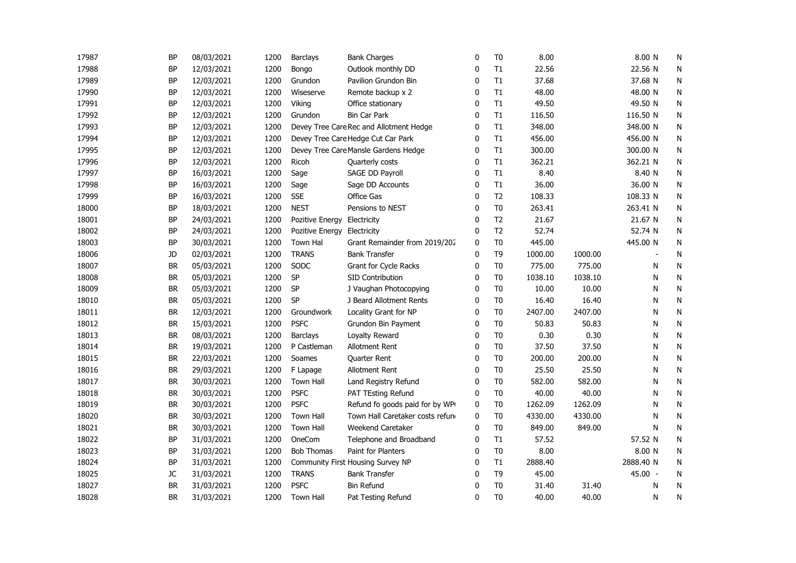| 17988 | <b>BP</b> | 12/03/2021 |      |                   |                                         |              |                |         |         |           |              |  |
|-------|-----------|------------|------|-------------------|-----------------------------------------|--------------|----------------|---------|---------|-----------|--------------|--|
|       |           |            | 1200 | Bongo             | Outlook monthly DD                      | 0            | T1             | 22.56   |         | 22.56 N   | N            |  |
| 17989 | <b>BP</b> | 12/03/2021 | 1200 | Grundon           | Pavilion Grundon Bin                    | 0            | T1             | 37.68   |         | 37.68 N   | N            |  |
| 17990 | <b>BP</b> | 12/03/2021 | 1200 | Wiseserve         | Remote backup x 2                       | 0            | T1             | 48.00   |         | 48.00 N   | N            |  |
| 17991 | BP        | 12/03/2021 | 1200 | Viking            | Office stationary                       | 0            | T1             | 49.50   |         | 49.50 N   | ${\sf N}$    |  |
| 17992 | <b>BP</b> | 12/03/2021 | 1200 | Grundon           | <b>Bin Car Park</b>                     | $\mathbf{0}$ | T1             | 116.50  |         | 116.50 N  | ${\sf N}$    |  |
| 17993 | <b>BP</b> | 12/03/2021 | 1200 |                   | Devey Tree Care Rec and Allotment Hedge | $\mathbf{0}$ | T1             | 348.00  |         | 348.00 N  | ${\sf N}$    |  |
| 17994 | <b>BP</b> | 12/03/2021 | 1200 |                   | Devey Tree Care Hedge Cut Car Park      | 0            | T1             | 456.00  |         | 456.00 N  | N            |  |
| 17995 | <b>BP</b> | 12/03/2021 | 1200 |                   | Devey Tree Care Mansle Gardens Hedge    | 0            | T1             | 300.00  |         | 300.00 N  | N            |  |
| 17996 | <b>BP</b> | 12/03/2021 | 1200 | Ricoh             | Quarterly costs                         | 0            | T1             | 362.21  |         | 362.21 N  | N            |  |
| 17997 | <b>BP</b> | 16/03/2021 | 1200 | Sage              | SAGE DD Payroll                         | 0            | T1             | 8.40    |         | 8.40 N    | N            |  |
| 17998 | <b>BP</b> | 16/03/2021 | 1200 | Sage              | Sage DD Accounts                        | 0            | T1             | 36.00   |         | 36.00 N   | N            |  |
| 17999 | <b>BP</b> | 16/03/2021 | 1200 | <b>SSE</b>        | Office Gas                              | 0            | T <sub>2</sub> | 108.33  |         | 108.33 N  | N            |  |
| 18000 | <b>BP</b> | 18/03/2021 | 1200 | <b>NEST</b>       | Pensions to NEST                        | 0            | T <sub>0</sub> | 263.41  |         | 263.41 N  | N            |  |
| 18001 | BP        | 24/03/2021 | 1200 | Pozitive Energy   | Electricity                             | $\mathbf{0}$ | T <sub>2</sub> | 21.67   |         | 21.67 N   | N            |  |
| 18002 | <b>BP</b> | 24/03/2021 | 1200 | Pozitive Energy   | Electricity                             | $\mathbf{0}$ | T <sub>2</sub> | 52.74   |         | 52.74 N   | N            |  |
| 18003 | <b>BP</b> | 30/03/2021 | 1200 | <b>Town Hal</b>   | Grant Remainder from 2019/202           | $\mathbf{0}$ | T <sub>0</sub> | 445.00  |         | 445.00 N  | ${\sf N}$    |  |
| 18006 | JD        | 02/03/2021 | 1200 | <b>TRANS</b>      | <b>Bank Transfer</b>                    | $\mathbf{0}$ | T <sub>9</sub> | 1000.00 | 1000.00 |           | N            |  |
| 18007 | <b>BR</b> | 05/03/2021 | 1200 | SODC              | Grant for Cycle Racks                   | $\mathbf 0$  | T <sub>0</sub> | 775.00  | 775.00  | N         | N            |  |
| 18008 | <b>BR</b> | 05/03/2021 | 1200 | SP                | <b>SID Contribution</b>                 | 0            | T <sub>0</sub> | 1038.10 | 1038.10 | N         | N            |  |
| 18009 | <b>BR</b> | 05/03/2021 | 1200 | SP                | J Vaughan Photocopying                  | 0            | T <sub>0</sub> | 10.00   | 10.00   | N         | N            |  |
| 18010 | <b>BR</b> | 05/03/2021 | 1200 | SP                | J Beard Allotment Rents                 | 0            | T <sub>0</sub> | 16.40   | 16.40   | N         | N            |  |
| 18011 | <b>BR</b> | 12/03/2021 | 1200 | Groundwork        | Locality Grant for NP                   | 0            | T <sub>0</sub> | 2407.00 | 2407.00 | N         | N            |  |
| 18012 | <b>BR</b> | 15/03/2021 | 1200 | <b>PSFC</b>       | Grundon Bin Payment                     | 0            | T <sub>0</sub> | 50.83   | 50.83   | Ν         | N            |  |
| 18013 | <b>BR</b> | 08/03/2021 | 1200 | <b>Barclays</b>   | Loyalty Reward                          | 0            | T <sub>0</sub> | 0.30    | 0.30    | N         | ${\sf N}$    |  |
| 18014 | <b>BR</b> | 19/03/2021 | 1200 | P Castleman       | Allotment Rent                          | 0            | T <sub>0</sub> | 37.50   | 37.50   | N         | ${\sf N}$    |  |
| 18015 | <b>BR</b> | 22/03/2021 | 1200 | Soames            | <b>Quarter Rent</b>                     | 0            | T <sub>0</sub> | 200.00  | 200.00  | N         | N            |  |
| 18016 | <b>BR</b> | 29/03/2021 | 1200 | F Lapage          | Allotment Rent                          | 0            | T <sub>0</sub> | 25.50   | 25.50   | N         | N            |  |
| 18017 | <b>BR</b> | 30/03/2021 | 1200 | <b>Town Hall</b>  | Land Registry Refund                    | 0            | T <sub>0</sub> | 582.00  | 582.00  | N         | N            |  |
| 18018 | <b>BR</b> | 30/03/2021 | 1200 | <b>PSFC</b>       | PAT TEsting Refund                      | 0            | T <sub>0</sub> | 40.00   | 40.00   | N         | N            |  |
| 18019 | <b>BR</b> | 30/03/2021 | 1200 | <b>PSFC</b>       | Refund fo goods paid for by WP          | $\mathbf 0$  | T <sub>0</sub> | 1262.09 | 1262.09 | N         | N            |  |
| 18020 | <b>BR</b> | 30/03/2021 | 1200 | <b>Town Hall</b>  | Town Hall Caretaker costs refund        | $\mathbf 0$  | T <sub>0</sub> | 4330.00 | 4330.00 | N         | ${\sf N}$    |  |
| 18021 | <b>BR</b> | 30/03/2021 | 1200 | Town Hall         | Weekend Caretaker                       | 0            | T <sub>0</sub> | 849.00  | 849.00  | N         | N            |  |
| 18022 | <b>BP</b> | 31/03/2021 | 1200 | OneCom            | Telephone and Broadband                 | 0            | T1             | 57.52   |         | 57.52 N   | N            |  |
| 18023 | <b>BP</b> | 31/03/2021 | 1200 | <b>Bob Thomas</b> | Paint for Planters                      | 0            | T <sub>0</sub> | 8.00    |         | 8.00 N    | ${\sf N}$    |  |
| 18024 | <b>BP</b> | 31/03/2021 | 1200 |                   | Community First Housing Survey NP       | 0            | T1             | 2888.40 |         | 2888.40 N | $\mathsf{N}$ |  |
| 18025 | JC        | 31/03/2021 | 1200 | <b>TRANS</b>      | <b>Bank Transfer</b>                    | 0            | T <sub>9</sub> | 45.00   |         | 45.00 -   | N            |  |
| 18027 | <b>BR</b> | 31/03/2021 | 1200 | <b>PSFC</b>       | <b>Bin Refund</b>                       | 0            | T <sub>0</sub> | 31.40   | 31.40   | N         | N            |  |
| 18028 | <b>BR</b> | 31/03/2021 | 1200 | <b>Town Hall</b>  | Pat Testing Refund                      | $\mathbf{0}$ | T <sub>0</sub> | 40.00   | 40.00   | N         | N            |  |